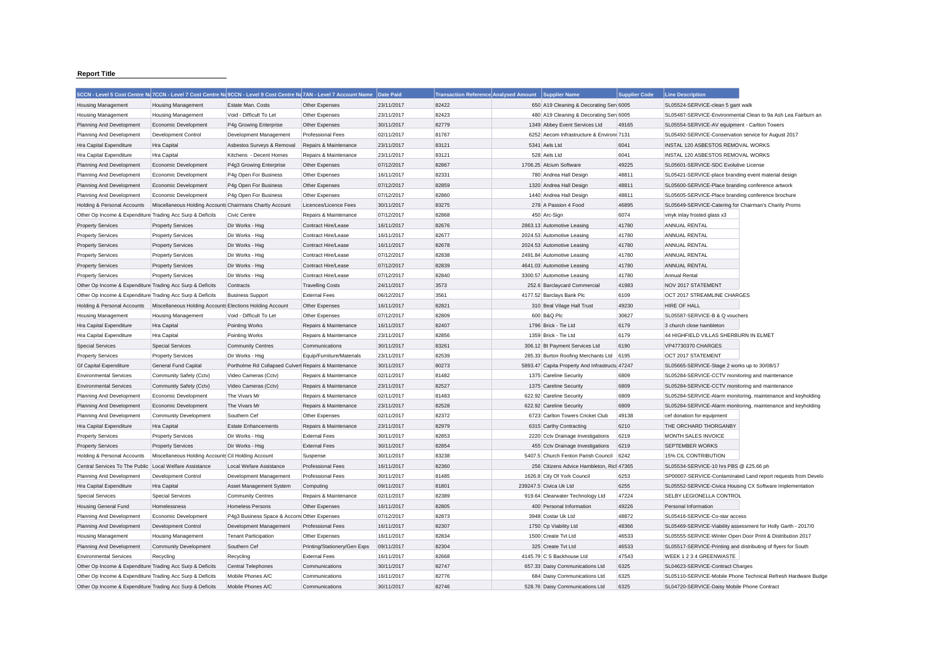## **Report Title**

|                                                           |                                                          | 5CCN - Level 5 Cost Centre Na 7CCN - Level 7 Cost Centre Na 9CCN - Level 9 Cost Centre Na 7AN - Level 7 Account Name Date Paid |                              |            | Transaction Reference Analysed Amount Supplier Name |                                                | <b>Supplier Code</b> | <b>Line Description</b>                                       |  |
|-----------------------------------------------------------|----------------------------------------------------------|--------------------------------------------------------------------------------------------------------------------------------|------------------------------|------------|-----------------------------------------------------|------------------------------------------------|----------------------|---------------------------------------------------------------|--|
| <b>Housing Management</b>                                 | <b>Housing Management</b>                                | Estate Man, Costs                                                                                                              | Other Expenses               | 23/11/2017 | 82422                                               | 650 A19 Cleaning & Decorating Sen 6005         |                      | SL05524-SERVICE-clean 5 gant walk                             |  |
| <b>Housing Management</b>                                 | <b>Housing Management</b>                                | Void - Difficult To Let                                                                                                        | Other Expenses               | 23/11/2017 | 82423                                               | 480 A19 Cleaning & Decorating Sen 6005         |                      | SL05487-SERVICE-Environmental Clean to 9a Ash Lea Fairburn an |  |
| Planning And Development                                  | Economic Development                                     | P4g Growing Enterprise                                                                                                         | Other Expenses               | 30/11/2017 | 82779                                               | 1349 Abbey Event Services Ltd                  | 49165                | SL05554-SERVICE-AV equipment - Carlton Towers                 |  |
| Planning And Development                                  | Development Control                                      | Development Management                                                                                                         | <b>Professional Fees</b>     | 02/11/2017 | 81767                                               | 6252 Aecom Infrastructure & Environr 7131      |                      | SL05492-SERVICE-Conservation service for August 2017          |  |
| Hra Capital Expenditure                                   | Hra Capital                                              | Asbestos Surveys & Removal                                                                                                     | Repairs & Maintenance        | 23/11/2017 | 83121                                               | 5341 Aels Ltd                                  | 6041                 | INSTAL 120 ASBESTOS REMOVAL WORKS                             |  |
| Hra Capital Expenditure                                   | Hra Capital                                              | Kitchens - Decent Homes                                                                                                        | Repairs & Maintenance        | 23/11/2017 | 83121                                               | 528 Aels Ltd                                   | 6041                 | INSTAL 120 ASBESTOS REMOVAL WORKS                             |  |
| Planning And Development                                  | Economic Development                                     | P4g3 Growing Enterprise                                                                                                        | Other Expenses               | 07/12/2017 | 82867                                               | 1706.25 Alcium Software                        | 49225                | SL05601-SERVICE-SDC Evolutive License                         |  |
| Planning And Development                                  | Economic Development                                     | P4g Open For Business                                                                                                          | Other Expenses               | 16/11/2017 | 82331                                               | 780 Andrea Hall Design                         | 48811                | SL05421-SERVICE-place branding event material design          |  |
| Planning And Development                                  | Economic Development                                     | P4g Open For Business                                                                                                          | Other Expenses               | 07/12/2017 | 82859                                               | 1320 Andrea Hall Design                        | 48811                | SL05600-SERVICE-Place branding conference artwork             |  |
| Planning And Development                                  | Economic Development                                     | P4g Open For Business                                                                                                          | Other Expenses               | 07/12/2017 | 82860                                               | 1440 Andrea Hall Design                        | 48811                | SL05605-SERVICE-Place branding conference brochure            |  |
| Holding & Personal Accounts                               | Miscellaneous Holding Accounts Chairmans Charity Account |                                                                                                                                | Licences/Licence Fees        | 30/11/2017 | 83275                                               | 278 A Passion 4 Food                           | 46895                | SL05649-SERVICE-Catering for Chairman's Charity Proms         |  |
| Other Op Income & Expenditure Trading Acc Surp & Deficits |                                                          | Civic Centre                                                                                                                   | Repairs & Maintenance        | 07/12/2017 | 82868                                               | 450 Arc-Sign                                   | 6074                 | vinyk inlay frosted glass x3                                  |  |
| <b>Property Services</b>                                  | <b>Property Services</b>                                 | Dir Works - Hsg                                                                                                                | Contract Hire/Lease          | 16/11/2017 | 82676                                               | 2863.13 Automotive Leasing                     | 41780                | <b>ANNUAL RENTAL</b>                                          |  |
| <b>Property Services</b>                                  | <b>Property Services</b>                                 | Dir Works - Hsg                                                                                                                | Contract Hire/Lease          | 16/11/2017 | 82677                                               | 2024.53 Automotive Leasing                     | 41780                | ANNUAL RENTAL                                                 |  |
| <b>Property Services</b>                                  | <b>Property Services</b>                                 | Dir Works - Hsg                                                                                                                | Contract Hire/Lease          | 16/11/2017 | 82678                                               | 2024.53 Automotive Leasing                     | 41780                | ANNUAL RENTAL                                                 |  |
| <b>Property Services</b>                                  | <b>Property Services</b>                                 | Dir Works - Hsg                                                                                                                | Contract Hire/Lease          | 07/12/2017 | 82838                                               | 2491.84 Automotive Leasing                     | 41780                | <b>ANNUAL RENTAL</b>                                          |  |
| <b>Property Services</b>                                  | <b>Property Services</b>                                 | Dir Works - Hsg                                                                                                                | Contract Hire/Lease          | 07/12/2017 | 82839                                               | 4641.03 Automotive Leasing                     | 41780                | <b>ANNUAL RENTAL</b>                                          |  |
| <b>Property Services</b>                                  | <b>Property Services</b>                                 | Dir Works - Hsg                                                                                                                | Contract Hire/Lease          | 07/12/2017 | 82840                                               | 3300.57 Automotive Leasing                     | 41780                | Annual Rental                                                 |  |
| Other Op Income & Expenditure Trading Acc Surp & Deficits |                                                          | Contracts                                                                                                                      | <b>Travelling Costs</b>      | 24/11/2017 | 3573                                                | 252.6 Barclaycard Commercial                   | 41983                | NOV 2017 STATEMENT                                            |  |
| Other Op Income & Expenditure Trading Acc Surp & Deficits |                                                          |                                                                                                                                | <b>External Fees</b>         | 06/12/2017 | 3561                                                | 4177.52 Barclays Bank Plc                      | 6109                 | OCT 2017 STREAMLINE CHARGES                                   |  |
|                                                           |                                                          | <b>Business Support</b>                                                                                                        |                              | 16/11/2017 | 82821                                               | 310 Beal Vilage Hall Trust                     | 49230                | HIRE OF HALL                                                  |  |
| Holding & Personal Accounts                               | Miscellaneous Holding Accounts Elections Holding Account |                                                                                                                                | Other Expenses               |            | 82809                                               | 600 B&Q Plc                                    | 30627                | SL05587-SERVICE-B & Q vouchers                                |  |
| <b>Housing Management</b>                                 | <b>Housing Management</b>                                | Void - Difficult To Let                                                                                                        | Other Expenses               | 07/12/2017 |                                                     |                                                |                      |                                                               |  |
| Hra Capital Expenditure                                   | Hra Capital                                              | Pointing Works                                                                                                                 | Repairs & Maintenance        | 16/11/2017 | 82407                                               | 1796 Brick - Tie Ltd                           | 6179                 | 3 church close hambleton                                      |  |
| Hra Capital Expenditure                                   | Hra Capital                                              | Pointing Works                                                                                                                 | Repairs & Maintenance        | 23/11/2017 | 82856                                               | 1359 Brick - Tie Ltd                           | 6179                 | 44 HIGHFIELD VILLAS SHERBURN IN ELMET                         |  |
| <b>Special Services</b>                                   | <b>Special Services</b>                                  | <b>Community Centres</b>                                                                                                       | Communications               | 30/11/2017 | 83261                                               | 306.12 Bt Payment Services Ltd                 | 6190                 | VP47730370 CHARGES                                            |  |
| <b>Property Services</b>                                  | <b>Property Services</b>                                 | Dir Works - Hsg                                                                                                                | Equip/Furniture/Materials    | 23/11/2017 | 82539                                               | 285.33 Burton Roofing Merchants Ltd            | 6195                 | OCT 2017 STATEMENT                                            |  |
| <b>Gf Capital Expenditure</b>                             | <b>General Fund Capital</b>                              | Portholme Rd Collapsed Culverl Repairs & Maintenance                                                                           |                              | 30/11/2017 | 80273                                               | 5893.47 Capita Property And Infrastructu 47247 |                      | SL05665-SERVICE-Stage 2 works up to 30/08/17                  |  |
| <b>Environmental Services</b>                             | Community Safety (Cctv)                                  | Video Cameras (Cctv)                                                                                                           | Repairs & Maintenance        | 02/11/2017 | 81482                                               | 1375 Careline Security                         | 6809                 | SL05284-SERVICE-CCTV monitoring and maintenance               |  |
| <b>Environmental Services</b>                             | Community Safety (Cctv)                                  | Video Cameras (Cctv)                                                                                                           | Repairs & Maintenance        | 23/11/2017 | 82527                                               | 1375 Careline Security                         | 6809                 | SL05284-SERVICE-CCTV monitoring and maintenance               |  |
| Planning And Development                                  | Economic Development                                     | The Vivars Mr                                                                                                                  | Repairs & Maintenance        | 02/11/2017 | 81483                                               | 622.92 Careline Security                       | 6809                 | SL05284-SERVICE-Alarm monitoring, maintenance and keyholding  |  |
| Planning And Development                                  | Economic Development                                     | The Vivars Mr                                                                                                                  | Repairs & Maintenance        | 23/11/2017 | 82528                                               | 622.92 Careline Security                       | 6809                 | SL05284-SERVICE-Alarm monitoring, maintenance and keyholding  |  |
| Planning And Development                                  | <b>Community Development</b>                             | Southern Cef                                                                                                                   | Other Expenses               | 02/11/2017 | 82372                                               | 6723 Carlton Towers Cricket Club               | 49138                | cef donation for equipment                                    |  |
| Hra Capital Expenditure                                   | Hra Capital                                              | <b>Estate Enhancements</b>                                                                                                     | Repairs & Maintenance        | 23/11/2017 | 82979                                               | 6315 Carthy Contracting                        | 6210                 | THE ORCHARD THORGANBY                                         |  |
| <b>Property Services</b>                                  | <b>Property Services</b>                                 | Dir Works - Hsg                                                                                                                | <b>External Fees</b>         | 30/11/2017 | 82853                                               | 2220 Cctv Drainage Investigations              | 6219                 | MONTH SALES INVOICE                                           |  |
| <b>Property Services</b>                                  | <b>Property Services</b>                                 | Dir Works - Hsg                                                                                                                | <b>External Fees</b>         | 30/11/2017 | 82854                                               | 455 Cctv Drainage Investigations               | 6219                 | <b>SEPTEMBER WORKS</b>                                        |  |
| Holding & Personal Accounts                               | Miscellaneous Holding Accounts Cil Holding Account       |                                                                                                                                | Suspense                     | 30/11/2017 | 83238                                               | 5407.5 Church Fenton Parish Council            | 6242                 | 15% CIL CONTRIBUTION                                          |  |
| Central Services To The Public Local Welfare Assistance   |                                                          | Local Wefare Assistance                                                                                                        | <b>Professional Fees</b>     | 16/11/2017 | 82360                                               | 256 Citizens Advice Hambleton, Rici 47365      |                      | SL05534-SERVICE-10 hrs PBS @ £25.66 ph                        |  |
| Planning And Development                                  | Development Control                                      | Development Management                                                                                                         | <b>Professional Fees</b>     | 30/11/2017 | 81485                                               | 1626.8 City Of York Council                    | 6253                 | SP00007-SERVICE-Contaminated Land report requests from Develo |  |
| Hra Capital Expenditure                                   | Hra Capital                                              | Asset Management System                                                                                                        | Computing                    | 09/11/2017 | 81801                                               | 239247.5 Civica Uk Ltd                         | 6255                 | SL05552-SERVICE-Civica Housing CX Software Implementation     |  |
| <b>Special Services</b>                                   | <b>Special Services</b>                                  | <b>Community Centres</b>                                                                                                       | Repairs & Maintenance        | 02/11/2017 | 82389                                               | 919.64 Clearwater Technology Ltd               | 47224                | SELBY LEGIONELLA CONTROL                                      |  |
| <b>Housing General Fund</b>                               | Homelessness                                             | <b>Homeless Persons</b>                                                                                                        | Other Expenses               | 16/11/2017 | 82805                                               | 400 Personal Information                       | 49226                | Personal Information                                          |  |
| Planning And Development                                  | Economic Development                                     | P4g3 Business Space & Accomi Other Expenses                                                                                    |                              | 07/12/2017 | 82873                                               | 3948 Costar Uk Ltd                             | 48872                | SL05416-SERVICE-Co-star access                                |  |
| Planning And Development                                  | Development Control                                      | Development Management                                                                                                         | <b>Professional Fees</b>     | 16/11/2017 | 82307                                               | 1750 Cp Viability Ltd                          | 48366                | SL05469-SERVICE-Viability assessment for Holly Garth - 2017/0 |  |
| <b>Housing Management</b>                                 | <b>Housing Management</b>                                | <b>Tenant Participation</b>                                                                                                    | Other Expenses               | 16/11/2017 | 82834                                               | 1500 Create Tvt Ltd                            | 46533                | SL05555-SERVICE-Winter Open Door Print & Distribution 2017    |  |
| Planning And Development                                  | <b>Community Development</b>                             | Southern Cef                                                                                                                   | Printing/Stationery/Gen Exps | 09/11/2017 | 82304                                               | 325 Create Tvt Ltd                             | 46533                | SL05517-SERVICE-Printing and distributing of flyers for South |  |
| <b>Environmental Services</b>                             | Recycling                                                | Recycling                                                                                                                      | <b>External Fees</b>         | 16/11/2017 | 82668                                               | 4145.79 C S Backhouse Ltd                      | 47543                | WEEK 1 2 3 4 GREENWASTE                                       |  |
| Other Op Income & Expenditure Trading Acc Surp & Deficits |                                                          | <b>Central Telephones</b>                                                                                                      | Communications               | 30/11/2017 | 82747                                               | 657.33 Daisy Communications Ltd                | 6325                 | SL04623-SERVICE-Contract Charges                              |  |
| Other Op Income & Expenditure Trading Acc Surp & Deficits |                                                          | Mobile Phones A/C                                                                                                              | Communications               | 16/11/2017 | 82776                                               | 684 Daisy Communications Ltd                   | 6325                 | SL05110-SERVICE-Mobile Phone Technical Refresh Hardware Budge |  |
| Other Op Income & Expenditure Trading Acc Surp & Deficits |                                                          | Mobile Phones A/C                                                                                                              | Communications               | 30/11/2017 | 82746                                               | 528.76 Daisy Communications Ltd                | 6325                 | SL04720-SERVICE-Daisy Mobile Phone Contract                   |  |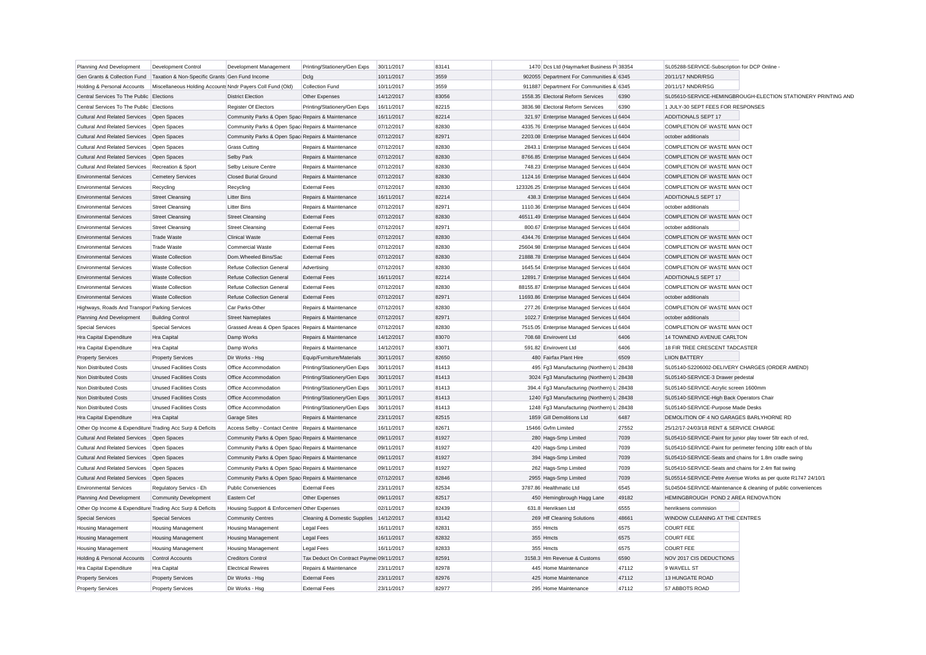| Planning And Development                                  | <b>Development Control</b>                                 | Development Management                              | Printing/Stationery/Gen Exps                 | 30/11/2017 | 83141 | 1470 Dcs Ltd (Haymarket Business P 38354      |       | SL05288-SERVICE-Subscription for DCP Online -                 |                                                               |
|-----------------------------------------------------------|------------------------------------------------------------|-----------------------------------------------------|----------------------------------------------|------------|-------|-----------------------------------------------|-------|---------------------------------------------------------------|---------------------------------------------------------------|
|                                                           |                                                            |                                                     |                                              |            |       |                                               |       | 20/11/17 NNDR/RSG                                             |                                                               |
| Gen Grants & Collection Fund                              | Taxation & Non-Specific Grants Gen Fund Income             |                                                     | Dclg                                         | 10/11/2017 | 3559  | 902055 Department For Communities & 6345      |       |                                                               |                                                               |
| Holding & Personal Accounts                               | Miscellaneous Holding Accounts Nndr Payers Coll Fund (Old) |                                                     | Collection Fund                              | 10/11/2017 | 3559  | 911887 Department For Communities & 6345      |       | 20/11/17 NNDR/RSG                                             |                                                               |
| Central Services To The Public Elections                  |                                                            | <b>District Election</b>                            | Other Expenses                               | 14/12/2017 | 83056 | 1558.35 Electoral Reform Services             | 6390  |                                                               | SL05610-SERVICE-HEMINGBROUGH-ELECTION STATIONERY PRINTING AND |
| Central Services To The Public Elections                  |                                                            | <b>Register Of Electors</b>                         | Printing/Stationery/Gen Exps                 | 16/11/2017 | 82215 | 3836.98 Flectoral Reform Services             | 6390  | 1 JULY-30 SEPT FEES FOR RESPONSES                             |                                                               |
| <b>Cultural And Related Services</b>                      | Open Spaces                                                | Community Parks & Open Spac Repairs & Maintenance   |                                              | 16/11/2017 | 82214 | 321.97 Enterprise Managed Services Lt 6404    |       | <b>ADDITIONALS SEPT 17</b>                                    |                                                               |
| <b>Cultural And Related Services</b>                      | Open Spaces                                                | Community Parks & Open Spac Repairs & Maintenance   |                                              | 07/12/2017 | 82830 | 4335.76 Enterprise Managed Services Lt 6404   |       | COMPLETION OF WASTE MAN OCT                                   |                                                               |
| <b>Cultural And Related Services</b>                      | Open Spaces                                                | Community Parks & Open Spac Repairs & Maintenance   |                                              | 07/12/2017 | 82971 | 2203.08 Enterprise Managed Services Lt 6404   |       | october additionals                                           |                                                               |
| <b>Cultural And Related Services</b>                      | Open Spaces                                                | <b>Grass Cutting</b>                                | Repairs & Maintenance                        | 07/12/2017 | 82830 | 2843.1 Enterprise Managed Services Lt 6404    |       | COMPLETION OF WASTE MAN OCT                                   |                                                               |
| <b>Cultural And Related Services</b>                      | Open Spaces                                                | Selby Park                                          | Repairs & Maintenance                        | 07/12/2017 | 82830 | 8766.85 Enterprise Managed Services Lt 6404   |       | COMPLETION OF WASTE MAN OCT                                   |                                                               |
| <b>Cultural And Related Services</b>                      | Recreation & Sport                                         | Selby Leisure Centre                                | Repairs & Maintenance                        | 07/12/2017 | 82830 | 748.23 Enterprise Managed Services Lt 6404    |       | COMPLETION OF WASTE MAN OCT                                   |                                                               |
| <b>Environmental Services</b>                             | <b>Cemetery Services</b>                                   | <b>Closed Burial Ground</b>                         | Repairs & Maintenance                        | 07/12/2017 | 82830 | 1124.16 Enterprise Managed Services Lt 6404   |       | COMPLETION OF WASTE MAN OCT                                   |                                                               |
| <b>Environmental Services</b>                             | Recycling                                                  | Recycling                                           | <b>External Fees</b>                         | 07/12/2017 | 82830 | 123326.25 Enterprise Managed Services Lt 6404 |       | COMPLETION OF WASTE MAN OCT                                   |                                                               |
| <b>Environmental Services</b>                             | <b>Street Cleansing</b>                                    | <b>Litter Bins</b>                                  | Repairs & Maintenance                        | 16/11/2017 | 82214 | 438.3 Enterprise Managed Services Lt 6404     |       | ADDITIONALS SEPT 17                                           |                                                               |
| <b>Environmental Services</b>                             | <b>Street Cleansing</b>                                    | <b>Litter Bins</b>                                  | Repairs & Maintenance                        | 07/12/2017 | 82971 | 1110.36 Enterprise Managed Services Lt 6404   |       | october additionals                                           |                                                               |
| <b>Environmental Services</b>                             | <b>Street Cleansing</b>                                    | <b>Street Cleansing</b>                             | <b>External Fees</b>                         | 07/12/2017 | 82830 | 46511.49 Enterprise Managed Services Lt 6404  |       | COMPLETION OF WASTE MAN OCT                                   |                                                               |
| <b>Environmental Services</b>                             | <b>Street Cleansing</b>                                    | <b>Street Cleansing</b>                             | <b>External Fees</b>                         | 07/12/2017 | 82971 | 800.67 Enterprise Managed Services Lt 6404    |       | october additionals                                           |                                                               |
| <b>Environmental Services</b>                             | <b>Trade Waste</b>                                         | <b>Clinical Waste</b>                               | <b>External Fees</b>                         | 07/12/2017 | 82830 | 4344.76 Enterprise Managed Services Lt 6404   |       | COMPLETION OF WASTE MAN OCT                                   |                                                               |
| <b>Environmental Services</b>                             | <b>Trade Waste</b>                                         | <b>Commercial Waste</b>                             | <b>External Fees</b>                         | 07/12/2017 | 82830 | 25604.98 Enterprise Managed Services Lt 6404  |       | COMPLETION OF WASTE MAN OCT                                   |                                                               |
| <b>Environmental Services</b>                             | <b>Waste Collection</b>                                    | Dom.Wheeled Bins/Sac                                | <b>External Fees</b>                         | 07/12/2017 | 82830 | 21888.78 Enterprise Managed Services Lt 6404  |       | COMPLETION OF WASTE MAN OCT                                   |                                                               |
| <b>Environmental Services</b>                             | <b>Waste Collection</b>                                    | Refuse Collection General                           | Advertising                                  | 07/12/2017 | 82830 | 1645.54 Enterprise Managed Services Lt 6404   |       | COMPLETION OF WASTE MAN OCT                                   |                                                               |
| <b>Environmental Services</b>                             | <b>Waste Collection</b>                                    | <b>Refuse Collection General</b>                    | <b>External Fees</b>                         | 16/11/2017 | 82214 | 12891.7 Enterprise Managed Services Lt 6404   |       | ADDITIONALS SEPT 17                                           |                                                               |
|                                                           |                                                            |                                                     |                                              |            |       |                                               |       |                                                               |                                                               |
| <b>Environmental Services</b>                             | <b>Waste Collection</b>                                    | <b>Refuse Collection General</b>                    | <b>External Fees</b><br><b>External Fees</b> | 07/12/2017 | 82830 | 88155.87 Enterprise Managed Services Lt 6404  |       | COMPLETION OF WASTE MAN OCT<br>october additionals            |                                                               |
| <b>Environmental Services</b>                             | <b>Waste Collection</b>                                    | <b>Refuse Collection General</b>                    |                                              | 07/12/2017 | 82971 | 11693.86 Enterprise Managed Services Lt 6404  |       |                                                               |                                                               |
| Highways, Roads And Transpor Parking Services             |                                                            | Car Parks-Other                                     | Repairs & Maintenance                        | 07/12/2017 | 82830 | 277.26 Enterprise Managed Services Lt 6404    |       | COMPLETION OF WASTE MAN OCT                                   |                                                               |
| Planning And Development                                  | <b>Building Control</b>                                    | <b>Street Nameplates</b>                            | Repairs & Maintenance                        | 07/12/2017 | 82971 | 1022.7 Enterprise Managed Services Lt 6404    |       | october additionals                                           |                                                               |
| <b>Special Services</b>                                   | <b>Special Services</b>                                    | Grassed Areas & Open Spaces Repairs & Maintenance   |                                              | 07/12/2017 | 82830 | 7515.05 Enterprise Managed Services Lt 6404   |       | COMPLETION OF WASTE MAN OCT                                   |                                                               |
| Hra Capital Expenditure                                   | Hra Capital                                                | Damp Works                                          | Repairs & Maintenance                        | 14/12/2017 | 83070 | 708.68 Envirovent Ltd                         | 6406  | 14 TOWNEND AVENUE CARLTON                                     |                                                               |
| Hra Capital Expenditure                                   | Hra Capital                                                | Damp Works                                          | Repairs & Maintenance                        | 14/12/2017 | 83071 | 591.82 Envirovent Ltd                         | 6406  | 18 FIR TREE CRESCENT TADCASTER                                |                                                               |
| <b>Property Services</b>                                  | <b>Property Services</b>                                   | Dir Works - Hsg                                     | Equip/Furniture/Materials                    | 30/11/2017 | 82650 | 480 Fairfax Plant Hire                        | 6509  | <b>LIION BATTERY</b>                                          |                                                               |
| Non Distributed Costs                                     | <b>Unused Facilities Costs</b>                             | Office Accommodation                                | Printing/Stationery/Gen Exps                 | 30/11/2017 | 81413 | 495 Fg3 Manufacturing (Northern) L 28438      |       | SL05140-S2206002-DELIVERY CHARGES (ORDER AMEND)               |                                                               |
| Non Distributed Costs                                     | <b>Unused Facilities Costs</b>                             | Office Accommodation                                | Printing/Stationery/Gen Exps                 | 30/11/2017 | 81413 | 3024 Fg3 Manufacturing (Northern) L 28438     |       | SL05140-SERVICE-3 Drawer pedestal                             |                                                               |
| Non Distributed Costs                                     | <b>Unused Facilities Costs</b>                             | Office Accommodation                                | Printing/Stationery/Gen Exps                 | 30/11/2017 | 81413 | 394.4 Fq3 Manufacturing (Northern) L 28438    |       | SL05140-SERVICE-Acrylic screen 1600mm                         |                                                               |
| Non Distributed Costs                                     | Unused Facilities Costs                                    | Office Accommodation                                | Printing/Stationery/Gen Exps                 | 30/11/2017 | 81413 | 1240 Fg3 Manufacturing (Northern) L 28438     |       | SL05140-SERVICE-High Back Operators Chair                     |                                                               |
| Non Distributed Costs                                     | Unused Facilities Costs                                    | Office Accommodation                                | Printing/Stationery/Gen Exps                 | 30/11/2017 | 81413 | 1248 Fg3 Manufacturing (Northern) L 28438     |       | SL05140-SERVICE-Purpose Made Desks                            |                                                               |
| Hra Capital Expenditure                                   | Hra Capital                                                | <b>Garage Sites</b>                                 | Repairs & Maintenance                        | 23/11/2017 | 82515 | 1859 Gill Demolitions Ltd                     | 6487  | DEMOLITION OF 4 NO GARAGES BARLYHORNE RD                      |                                                               |
| Other Op Income & Expenditure Trading Acc Surp & Deficits |                                                            | Access Selby - Contact Centre Repairs & Maintenance |                                              | 16/11/2017 | 82671 | 15466 Gvfm Limited                            | 27552 | 25/12/17-24/03/18 RENT & SERVICE CHARGE                       |                                                               |
| <b>Cultural And Related Services</b>                      | Open Spaces                                                | Community Parks & Open Spac Repairs & Maintenance   |                                              | 09/11/2017 | 81927 | 280 Hags-Smp Limited                          | 7039  | SL05410-SERVICE-Paint for junior play tower 5ltr each of red  |                                                               |
| <b>Cultural And Related Services</b>                      | Open Spaces                                                | Community Parks & Open Spac Repairs & Maintenance   |                                              | 09/11/2017 | 81927 | 420 Hags-Smp Limited                          | 7039  | SL05410-SERVICE-Paint for perimeter fencing 10ltr each of blu |                                                               |
| <b>Cultural And Related Services</b>                      | Open Spaces                                                | Community Parks & Open Spac Repairs & Maintenance   |                                              | 09/11/2017 | 81927 | 394 Hags-Smp Limited                          | 7039  | SL05410-SERVICE-Seats and chains for 1.8m cradle swing        |                                                               |
| <b>Cultural And Related Services</b>                      | Open Spaces                                                | Community Parks & Open Spac Repairs & Maintenance   |                                              | 09/11/2017 | 81927 | 262 Hags-Smp Limited                          | 7039  | SL05410-SERVICE-Seats and chains for 2.4m flat swing          |                                                               |
| <b>Cultural And Related Services</b>                      | Open Spaces                                                | Community Parks & Open Spac Repairs & Maintenance   |                                              | 07/12/2017 | 82846 | 2955 Hags-Smp Limited                         | 7039  |                                                               | SL05514-SERVICE-Petre Avenue Works as per quote R1747 24/10/1 |
| <b>Environmental Services</b>                             | Regulatory Servics - Eh                                    | Public Conveniences                                 | <b>External Fees</b>                         | 23/11/2017 | 82534 | 3787.86 Healthmatic Ltd                       | 6545  |                                                               | SL04504-SERVICE-Maintenance & cleaning of public conveniences |
| Planning And Development                                  | <b>Community Development</b>                               | <b>Eastern Cef</b>                                  | Other Expenses                               | 09/11/2017 | 82517 | 450 Hemingbrough Hagg Lane                    | 49182 | HEMINGBROUGH POND 2 AREA RENOVATION                           |                                                               |
| Other Op Income & Expenditure Trading Acc Surp & Deficits |                                                            | Housing Support & Enforcemen Other Expenses         |                                              | 02/11/2017 | 82439 | 631.8 Henriksen Ltd                           | 6555  | henriksens commision                                          |                                                               |
| <b>Special Services</b>                                   | <b>Special Services</b>                                    | <b>Community Centres</b>                            | Cleaning & Domestic Supplies 14/12/2017      |            | 83142 | 269 Hlf Cleaning Solutions                    | 48661 | WINDOW CLEANING AT THE CENTRES                                |                                                               |
| <b>Housing Management</b>                                 | <b>Housing Management</b>                                  | <b>Housing Management</b>                           | <b>Legal Fees</b>                            | 16/11/2017 | 82831 | 355 Hmcts                                     | 6575  | <b>COURT FEE</b>                                              |                                                               |
|                                                           |                                                            |                                                     |                                              | 16/11/2017 | 82832 | 355 Hmcts                                     | 6575  | <b>COURT FEE</b>                                              |                                                               |
| Housing Management                                        | <b>Housing Management</b>                                  | <b>Housing Management</b>                           | <b>Legal Fees</b>                            |            | 82833 | 355 Hmcts                                     | 6575  | <b>COURT FEE</b>                                              |                                                               |
| <b>Housing Management</b>                                 | <b>Housing Management</b>                                  | <b>Housing Management</b>                           | <b>Legal Fees</b>                            | 16/11/2017 |       |                                               |       |                                                               |                                                               |
| Holding & Personal Accounts                               | Control Accounts                                           | <b>Creditors Control</b>                            | Tax Deduct On Contract Payme 09/11/2017      |            | 82591 | 3158.3 Hm Revenue & Customs                   | 6590  | NOV 2017 CIS DEDUCTIONS                                       |                                                               |
| Hra Capital Expenditure                                   | Hra Capital                                                | <b>Flectrical Rewires</b>                           | Repairs & Maintenance                        | 23/11/2017 | 82978 | 445 Home Maintenance                          | 47112 | 9 WAVELL ST                                                   |                                                               |
| <b>Property Services</b>                                  | <b>Property Services</b>                                   | Dir Works - Hsg                                     | <b>External Fees</b>                         | 23/11/2017 | 82976 | 425 Home Maintenance                          | 47112 | 13 HUNGATE ROAD                                               |                                                               |
| <b>Property Services</b>                                  | <b>Property Services</b>                                   | Dir Works - Hsg                                     | <b>External Fees</b>                         | 23/11/2017 | 82977 | 295 Home Maintenance                          | 47112 | 57 ABBOTS ROAD                                                |                                                               |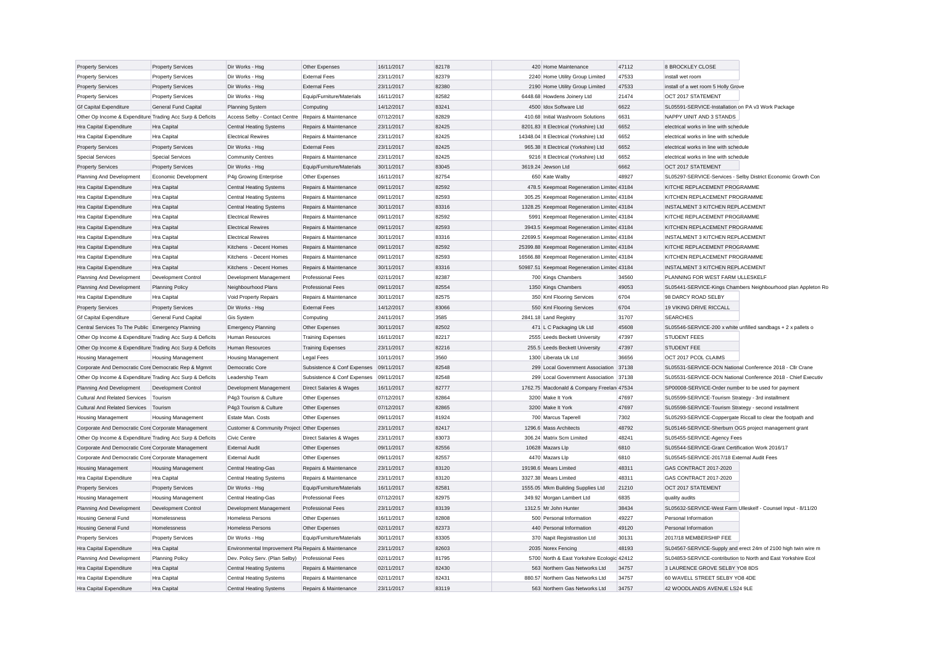| <b>Property Services</b>                                  | <b>Property Services</b>  | Dir Works - Hsg                                     | Other Expenses                         | 16/11/2017 | 82178 | 420 Home Maintenance                         | 47112 | 8 BROCKLEY CLOSE                                               |                                                               |
|-----------------------------------------------------------|---------------------------|-----------------------------------------------------|----------------------------------------|------------|-------|----------------------------------------------|-------|----------------------------------------------------------------|---------------------------------------------------------------|
| <b>Property Services</b>                                  | <b>Property Services</b>  | Dir Works - Hsg                                     | <b>External Fees</b>                   | 23/11/2017 | 82379 | 2240 Home Utility Group Limited              | 47533 | install wet room                                               |                                                               |
| <b>Property Services</b>                                  | <b>Property Services</b>  | Dir Works - Hsg                                     | <b>External Fees</b>                   | 23/11/2017 | 82380 | 2190 Home Utility Group Limited              | 47533 | install of a wet room 5 Holly Grove                            |                                                               |
|                                                           | <b>Property Services</b>  | Dir Works - Hsg                                     | Equip/Furniture/Materials              | 16/11/2017 | 82582 | 6448.68 Howdens Joinery Ltd                  | 21474 | OCT 2017 STATEMENT                                             |                                                               |
| <b>Property Services</b><br><b>Gf Capital Expenditure</b> | General Fund Capital      | Planning System                                     |                                        | 14/12/2017 | 83241 | 4500 Idox Software Ltd                       | 6622  | SL05591-SERVICE-Installation on PA v3 Work Package             |                                                               |
| Other Op Income & Expenditure Trading Acc Surp & Deficits |                           | Access Selby - Contact Centre                       | Computing                              | 07/12/2017 | 82829 | 410.68 Initial Washroom Solutions            | 6631  | NAPPY UINIT AND 3 STANDS                                       |                                                               |
|                                                           |                           |                                                     | Repairs & Maintenance                  |            |       |                                              |       |                                                                |                                                               |
| Hra Capital Expenditure                                   | Hra Capital               | <b>Central Heating Systems</b>                      | Repairs & Maintenance                  | 23/11/2017 | 82425 | 8201.83 It Electrical (Yorkshire) Ltd        | 6652  | electrical works in line with schedule                         |                                                               |
| Hra Capital Expenditure                                   | Hra Capital               | <b>Electrical Rewires</b>                           | Repairs & Maintenance                  | 23/11/2017 | 82425 | 14348.04 It Electrical (Yorkshire) Ltd       | 6652  | electrical works in line with schedule                         |                                                               |
| <b>Property Services</b>                                  | <b>Property Services</b>  | Dir Works - Hsg                                     | <b>External Fees</b>                   | 23/11/2017 | 82425 | 965.38 It Electrical (Yorkshire) Ltd         | 6652  | electrical works in line with schedule                         |                                                               |
| <b>Special Services</b>                                   | <b>Special Services</b>   | <b>Community Centres</b>                            | Repairs & Maintenance                  | 23/11/2017 | 82425 | 9216 It Electrical (Yorkshire) Ltd           | 6652  | electrical works in line with schedule                         |                                                               |
| <b>Property Services</b>                                  | <b>Property Services</b>  | Dir Works - Hsg                                     | Equip/Furniture/Materials              | 30/11/2017 | 83045 | 3619.24 Jewson Ltd                           | 6662  | OCT 2017 STATEMENT                                             |                                                               |
| Planning And Development                                  | Economic Development      | P4g Growing Enterprise                              | Other Expenses                         | 16/11/2017 | 82754 | 650 Kate Walby                               | 48927 |                                                                | SL05297-SERVICE-Services - Selby District Economic Growth Con |
| Hra Capital Expenditure                                   | Hra Capital               | <b>Central Heating Systems</b>                      | Repairs & Maintenance                  | 09/11/2017 | 82592 | 478.5 Keepmoat Regeneration Limited 43184    |       | KITCHE REPLACEMENT PROGRAMME                                   |                                                               |
| Hra Capital Expenditure                                   | Hra Capital               | <b>Central Heating Systems</b>                      | Repairs & Maintenance                  | 09/11/2017 | 82593 | 305.25 Keepmoat Regeneration Limited 43184   |       | KITCHEN REPLACEMENT PROGRAMME                                  |                                                               |
| <b>Hra Capital Expenditure</b>                            | Hra Capital               | <b>Central Heating Systems</b>                      | Repairs & Maintenance                  | 30/11/2017 | 83316 | 1328.25 Keepmoat Regeneration Limited 43184  |       | INSTALMENT 3 KITCHEN REPLACEMENT                               |                                                               |
| Hra Capital Expenditure                                   | Hra Capital               | <b>Flectrical Rewires</b>                           | Repairs & Maintenance                  | 09/11/2017 | 82592 | 5991 Keepmoat Regeneration Limited 43184     |       | KITCHE REPLACEMENT PROGRAMME                                   |                                                               |
| Hra Capital Expenditure                                   | Hra Capital               | <b>Electrical Rewires</b>                           | Repairs & Maintenance                  | 09/11/2017 | 82593 | 3943.5 Keepmoat Regeneration Limited 43184   |       | KITCHEN REPLACEMENT PROGRAMME                                  |                                                               |
| Hra Capital Expenditure                                   | Hra Capital               | <b>Electrical Rewires</b>                           | Repairs & Maintenance                  | 30/11/2017 | 83316 | 22699.5 Keepmoat Regeneration Limited 43184  |       | INSTALMENT 3 KITCHEN REPLACEMENT                               |                                                               |
| Hra Capital Expenditure                                   | Hra Capital               | Kitchens - Decent Homes                             | Repairs & Maintenance                  | 09/11/2017 | 82592 | 25399.88 Keepmoat Regeneration Limited 43184 |       | KITCHE REPLACEMENT PROGRAMME                                   |                                                               |
| Hra Capital Expenditure                                   | Hra Capital               | Kitchens - Decent Homes                             | Repairs & Maintenance                  | 09/11/2017 | 82593 | 16566.88 Keepmoat Regeneration Limited 43184 |       | KITCHEN REPLACEMENT PROGRAMME                                  |                                                               |
| Hra Capital Expenditure                                   | Hra Capital               | Kitchens - Decent Homes                             | Repairs & Maintenance                  | 30/11/2017 | 83316 | 50987.51 Keepmoat Regeneration Limited 43184 |       | <b>INSTALMENT 3 KITCHEN REPLACEMENT</b>                        |                                                               |
| Planning And Development                                  | Development Control       | Development Management                              | <b>Professional Fees</b>               | 02/11/2017 | 82387 | 700 Kings Chambers                           | 34560 | PLANNING FOR WEST FARM ULLESKELF                               |                                                               |
| Planning And Development                                  | <b>Planning Policy</b>    | Neighbourhood Plans                                 | <b>Professional Fees</b>               | 09/11/2017 | 82554 | 1350 Kings Chambers                          | 49053 |                                                                | SL05441-SERVICE-Kings Chambers Neighbourhood plan Appleton Ro |
| Hra Capital Expenditure                                   | Hra Capital               | Void Property Repairs                               | Repairs & Maintenance                  | 30/11/2017 | 82575 | 350 Kml Flooring Services                    | 6704  | 98 DARCY ROAD SELBY                                            |                                                               |
| <b>Property Services</b>                                  | <b>Property Services</b>  | Dir Works - Hsg                                     | <b>External Fees</b>                   | 14/12/2017 | 83066 | 550 Kml Flooring Services                    | 6704  | 19 VIKING DRIVE RICCALL                                        |                                                               |
| <b>Gf Capital Expenditure</b>                             | General Fund Capital      | <b>Gis System</b>                                   | Computing                              | 24/11/2017 | 3585  | 2841.18 Land Registry                        | 31707 | <b>SEARCHES</b>                                                |                                                               |
| Central Services To The Public Emergency Planning         |                           | <b>Emergency Planning</b>                           | Other Expenses                         | 30/11/2017 | 82502 | 471 L C Packaging Uk Ltd                     | 45608 | SL05546-SERVICE-200 x white unfilled sandbags + 2 x pallets of |                                                               |
| Other Op Income & Expenditure Trading Acc Surp & Deficits |                           | Human Resources                                     | <b>Training Expenses</b>               | 16/11/2017 | 82217 | 2555 Leeds Beckett University                | 47397 | <b>STUDENT FEES</b>                                            |                                                               |
| Other Op Income & Expenditure Trading Acc Surp & Deficits |                           | <b>Human Resources</b>                              | <b>Training Expenses</b>               | 23/11/2017 | 82216 | 255.5 Leeds Beckett University               | 47397 | <b>STUDENT FEE</b>                                             |                                                               |
| <b>Housing Management</b>                                 | <b>Housing Management</b> | <b>Housing Management</b>                           | Legal Fees                             | 10/11/2017 | 3560  | 1300 Liberata Uk Ltd                         | 36656 | OCT 2017 PCOL CLAIMS                                           |                                                               |
| Corporate And Democratic Core Democratic Rep & Mgmnt      |                           | Democratic Core                                     | Subsistence & Conf Expenses 09/11/2017 |            | 82548 | 299 Local Government Association 37138       |       | SL05531-SERVICE-DCN National Conference 2018 - Cllr Crane      |                                                               |
| Other Op Income & Expenditure Trading Acc Surp & Deficits |                           | Leadership Team                                     | Subsistence & Conf Expenses 09/11/2017 |            | 82548 | 299 Local Government Association 37138       |       |                                                                | SL05531-SERVICE-DCN National Conference 2018 - Chief Executiv |
| Planning And Development                                  | Development Control       | Development Management                              | Direct Salaries & Wages                | 16/11/2017 | 82777 | 1762.75 Macdonald & Company Freelan 47534    |       | SP00008-SERVICE-Order number to be used for payment            |                                                               |
| Cultural And Related Services   Tourism                   |                           | P4g3 Tourism & Culture                              | Other Expenses                         | 07/12/2017 | 82864 | 3200 Make It York                            | 47697 | SL05599-SERVICE-Tourism Strategy - 3rd installment             |                                                               |
|                                                           |                           |                                                     |                                        |            | 82865 | 3200 Make It York                            | 47697 |                                                                |                                                               |
| <b>Cultural And Related Services</b>                      | Tourism                   | P4g3 Tourism & Culture                              | Other Expenses                         | 07/12/2017 |       |                                              |       | SL05598-SERVICE-Tourism Strategy - second installment          |                                                               |
| <b>Housing Management</b>                                 | <b>Housing Management</b> | Estate Man, Costs                                   | Other Expenses                         | 09/11/2017 | 81924 | 700 Marcus Taperell                          | 7302  | SL05293-SERVICE-Coppergate Riccall to clear the footpath and   |                                                               |
| Corporate And Democratic Core Corporate Management        |                           | Customer & Community Project Other Expenses         |                                        | 23/11/2017 | 82417 | 1296.6 Mass Architects                       | 48792 | SL05146-SERVICE-Sherburn OGS project management grant          |                                                               |
| Other Op Income & Expenditure Trading Acc Surp & Deficits |                           | Civic Centre                                        | Direct Salaries & Wages                | 23/11/2017 | 83073 | 306.24 Matrix Scm Limited                    | 48241 | SL05455-SERVICE-Agency Fees                                    |                                                               |
| Corporate And Democratic Core Corporate Management        |                           | <b>External Audit</b>                               | Other Expenses                         | 09/11/2017 | 82556 | 10628 Mazars Lip                             | 6810  | SL05544-SERVICE-Grant Certification Work 2016/17               |                                                               |
| Corporate And Democratic Core Corporate Management        |                           | <b>External Audit</b>                               | Other Expenses                         | 09/11/2017 | 82557 | 4470 Mazars Lip                              | 6810  | SL05545-SERVICE-2017/18 External Audit Fees                    |                                                               |
| <b>Housing Management</b>                                 | <b>Housing Management</b> | Central Heating-Gas                                 | Repairs & Maintenance                  | 23/11/2017 | 83120 | 19198.6 Mears Limited                        | 48311 | GAS CONTRACT 2017-2020                                         |                                                               |
| Hra Capital Expenditure                                   | Hra Capital               | <b>Central Heating Systems</b>                      | Repairs & Maintenance                  | 23/11/2017 | 83120 | 3327.38 Mears Limited                        | 48311 | GAS CONTRACT 2017-2020                                         |                                                               |
| <b>Property Services</b>                                  | <b>Property Services</b>  | Dir Works - Hsg                                     | Equip/Furniture/Materials              | 16/11/2017 | 82581 | 1555.05 Mkm Building Supplies Ltd            | 21210 | OCT 2017 STATEMENT                                             |                                                               |
| <b>Housing Management</b>                                 | <b>Housing Management</b> | Central Heating-Gas                                 | <b>Professional Fees</b>               | 07/12/2017 | 82975 | 349.92 Morgan Lambert Ltd                    | 6835  | quality audits                                                 |                                                               |
| Planning And Development                                  | Development Control       | Development Management                              | <b>Professional Fees</b>               | 23/11/2017 | 83139 | 1312.5 Mr John Hunter                        | 38434 |                                                                | SL05632-SERVICE-West Farm Ulleskelf - Counsel Input - 8/11/20 |
| <b>Housing General Fund</b>                               | Homelessness              | <b>Homeless Persons</b>                             | Other Expenses                         | 16/11/2017 | 82808 | 500 Personal Information                     | 49227 | Personal Information                                           |                                                               |
| <b>Housing General Fund</b>                               | Homelessness              | <b>Homeless Persons</b>                             | Other Expenses                         | 02/11/2017 | 82373 | 440 Personal Information                     | 49120 | Personal Information                                           |                                                               |
| <b>Property Services</b>                                  | <b>Property Services</b>  | Dir Works - Hsg                                     | Equip/Furniture/Materials              | 30/11/2017 | 83305 | 370 Napit Registrastion Ltd                  | 30131 | 2017/18 MEMBERSHIP FEE                                         |                                                               |
| Hra Capital Expenditure                                   | Hra Capital               | Environmental Improvement Pla Repairs & Maintenance |                                        | 23/11/2017 | 82603 | 2035 Norex Fencing                           | 48193 |                                                                | SL04567-SERVICE-Supply and erect 24m of 2100 high twin wire m |
| Planning And Development                                  | <b>Planning Policy</b>    | Dev. Policy Serv. (Plan Selby)                      | <b>Professional Fees</b>               | 02/11/2017 | 81795 | 5700 North & East Yorkshire Ecologic 42412   |       |                                                                | SL04853-SERVICE-contribution to North and East Yorkshire Ecol |
| Hra Capital Expenditure                                   | Hra Capital               | <b>Central Heating Systems</b>                      | Repairs & Maintenance                  | 02/11/2017 | 82430 | 563 Northern Gas Networks Ltd                | 34757 | 3 LAURENCE GROVE SELBY YO8 8DS                                 |                                                               |
| Hra Capital Expenditure                                   | Hra Capital               | <b>Central Heating Systems</b>                      | Repairs & Maintenance                  | 02/11/2017 | 82431 | 880.57 Northern Gas Networks Ltd             | 34757 | 60 WAVELL STREET SELBY YO8 4DE                                 |                                                               |
| Hra Capital Expenditure                                   | Hra Capital               | <b>Central Heating Systems</b>                      | Repairs & Maintenance                  | 23/11/2017 | 83119 | 563 Northern Gas Networks Ltd                | 34757 | 42 WOODLANDS AVENUE LS24 9LE                                   |                                                               |
|                                                           |                           |                                                     |                                        |            |       |                                              |       |                                                                |                                                               |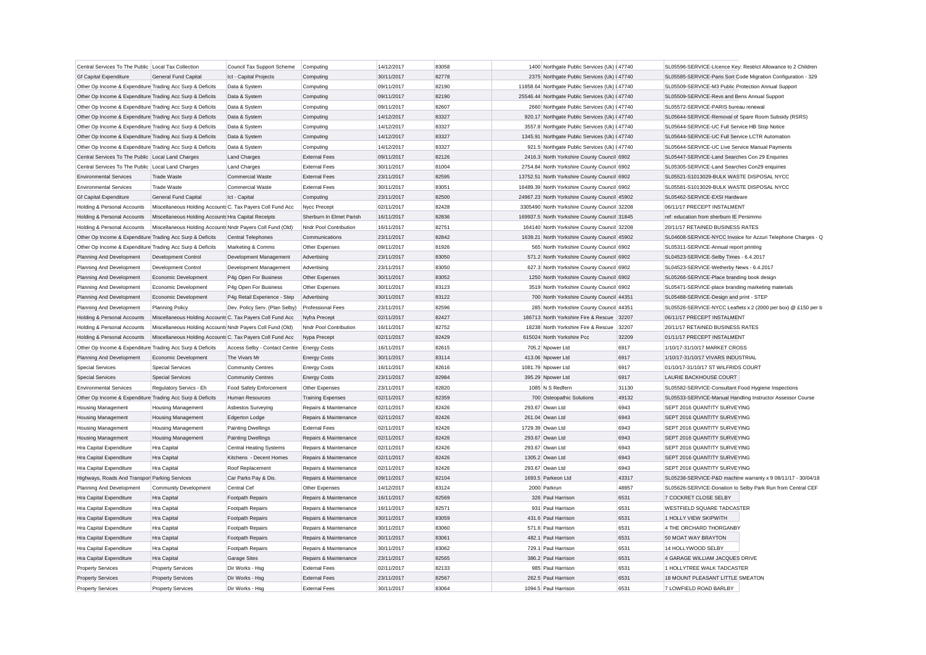| Central Services To The Public Local Tax Collection       |                                                            | Council Tax Support Scheme     | Computing                | 14/12/2017 | 83058          | 1400 Northgate Public Services (Uk) I 47740                             |       | SL05596-SERVICE-Licence Key: Restrict Allowance to 2 Children   |
|-----------------------------------------------------------|------------------------------------------------------------|--------------------------------|--------------------------|------------|----------------|-------------------------------------------------------------------------|-------|-----------------------------------------------------------------|
| <b>Gf Capital Expenditure</b>                             | General Fund Capital                                       | Ict - Capital Projects         | Computing                | 30/11/2017 | 82778          | 2375 Northgate Public Services (Uk) I 47740                             |       | SL05585-SERVICE-Paris Sort Code Migration Configuration - 329   |
| Other Op Income & Expenditure Trading Acc Surp & Deficits |                                                            | Data & System                  | Computing                | 09/11/2017 | 82190          | 11858.64 Northgate Public Services (Uk) I 47740                         |       | SL05509-SERVICE-M3 Public Protection Annual Support             |
| Other Op Income & Expenditure Trading Acc Surp & Deficits |                                                            | Data & System                  | Computing                | 09/11/2017 | 82190          | 25546.44 Northgate Public Services (Uk) I 47740                         |       | SL05509-SERVICE-Revs and Bens Annual Support                    |
| Other Op Income & Expenditure Trading Acc Surp & Deficits |                                                            | Data & System                  | Computing                | 09/11/2017 | 82607          | 2660 Northgate Public Services (Uk) I 47740                             |       | SL05572-SERVICE-PARIS bureau renewal                            |
| Other Op Income & Expenditure Trading Acc Surp & Deficits |                                                            | Data & System                  | Computing                | 14/12/2017 | 83327          | 920.17 Northgate Public Services (Uk) I 47740                           |       | SL05644-SERVICE-Removal of Spare Room Subsidy (RSRS)            |
| Other Op Income & Expenditure Trading Acc Surp & Deficits |                                                            | Data & System                  | Computing                | 14/12/2017 | 83327          | 3557.8 Northgate Public Services (Uk) I 47740                           |       | SL05644-SERVICE-UC Full Service HB Stop Notice                  |
| Other Op Income & Expenditure Trading Acc Surp & Deficits |                                                            | Data & System                  | Computing                | 14/12/2017 | 83327          | 1345.91 Northgate Public Services (Uk) I 47740                          |       | SL05644-SERVICE-UC Full Service LCTR Automation                 |
| Other Op Income & Expenditure Trading Acc Surp & Deficits |                                                            | Data & System                  | Computing                | 14/12/2017 | 83327          | 921.5 Northgate Public Services (Uk) I 47740                            |       | SL05644-SERVICE-UC Live Service Manual Payments                 |
| Central Services To The Public Local Land Charges         |                                                            | <b>Land Charges</b>            | <b>External Fees</b>     | 09/11/2017 | 82126          | 2416.3 North Yorkshire County Council 6902                              |       | SL05447-SERVICE-Land Searches Con 29 Enquiries                  |
| Central Services To The Public Local Land Charges         |                                                            | <b>Land Charges</b>            | <b>External Fees</b>     | 30/11/2017 | 81004          | 2754.84 North Yorkshire County Council 6902                             |       | SL05305-SERVICE-Land Searches Con29 enquiries                   |
| <b>Environmental Services</b>                             | <b>Trade Waste</b>                                         | <b>Commercial Waste</b>        | <b>External Fees</b>     | 23/11/2017 | 82595          | 13752.51 North Yorkshire County Council 6902                            |       | SL05521-S1013029-BULK WASTE DISPOSAL NYCC                       |
| <b>Environmental Services</b>                             | <b>Trade Waste</b>                                         | <b>Commercial Waste</b>        | <b>External Fees</b>     | 30/11/2017 | 83051          | 16489.39 North Yorkshire County Council 6902                            |       | SL05581-S1013029-BULK WASTE DISPOSAL NYCC                       |
| <b>Gf Capital Expenditure</b>                             | <b>General Fund Capital</b>                                | Ict - Capital                  | Computing                | 23/11/2017 | 82500          | 24967.23 North Yorkshire County Council 45902                           |       | SL05462-SERVICE-EXSI Hardware                                   |
| Holding & Personal Accounts                               | Miscellaneous Holding Accounts C. Tax Payers Coll Fund Acc |                                | Nycc Precept             | 02/11/2017 | 82428          | 3305490 North Yorkshire County Council 32208                            |       | 06/11/17 PRECEPT INSTALMENT                                     |
| Holding & Personal Accounts                               | Miscellaneous Holding Accounts Hra Capital Receipts        |                                | Sherburn In Elmet Parish | 16/11/2017 | 82836          | 169937.5 North Yorkshire County Council 31845                           |       | ref: education from sherburn IE Persimmo                        |
| Holding & Personal Accounts                               | Miscellaneous Holding Accounts Nndr Payers Coll Fund (Old) |                                | Nndr Pool Contribution   | 16/11/2017 | 82751          | 164140 North Yorkshire County Council 32208                             |       | 20/11/17 RETAINED BUSINESS RATES                                |
| Other Op Income & Expenditure Trading Acc Surp & Deficits |                                                            | <b>Central Telephones</b>      | Communications           | 23/11/2017 | 82842          | 1639.21 North Yorkshire County Council 45902                            |       | SL04608-SERVICE-NYCC Invoice for Azzuri Telephone Charges - Q   |
| Other Op Income & Expenditure Trading Acc Surp & Deficits |                                                            | Marketing & Comms              | Other Expenses           | 09/11/2017 | 81926          | 565 North Yorkshire County Council 6902                                 |       | SL05311-SERVICE-Annual report printing                          |
| Planning And Development                                  | Development Control                                        | Development Management         | Advertising              | 23/11/2017 | 83050          | 571.2 North Yorkshire County Council 6902                               |       | SL04523-SERVICE-Selby Times - 6.4.2017                          |
| Planning And Development                                  | <b>Development Control</b>                                 | Development Management         | Advertising              | 23/11/2017 | 83050          | 627.3 North Yorkshire County Council 6902                               |       | SL04523-SERVICE-Wetherby News - 6.4.2017                        |
| Planning And Development                                  | Economic Development                                       | P4g Open For Business          | Other Expenses           | 30/11/2017 | 83052          | 1250 North Yorkshire County Council 6902                                |       | SL05266-SERVICE-Place branding book design                      |
| Planning And Development                                  | Economic Development                                       | P4g Open For Business          | Other Expenses           | 30/11/2017 | 83123          | 3519 North Yorkshire County Council 6902                                |       | SL05471-SERVICE-place branding marketing materials              |
|                                                           | Economic Development                                       |                                | Advertising              | 30/11/2017 | 83122          | 700 North Yorkshire County Council 44351                                |       | SL05488-SERVICE-Design and print - STEP                         |
| Planning And Development                                  | <b>Planning Policy</b>                                     | P4g Retail Experience - Step   | <b>Professional Fees</b> | 23/11/2017 | 82596          | 285 North Yorkshire County Council 44351                                |       | SL05526-SERVICE-NYCC Leaflets x 2 (2000 per box) @ £150 per b   |
| Planning And Development                                  |                                                            | Dev. Policy Serv. (Plan Selby) |                          |            |                |                                                                         |       |                                                                 |
| Holding & Personal Accounts                               | Miscellaneous Holding Accounts C. Tax Payers Coll Fund Acc |                                | Nyfra Precept            | 02/11/2017 | 82427          | 186713 North Yorkshire Fire & Rescue                                    | 32207 | 06/11/17 PRECEPT INSTALMENT                                     |
| Holding & Personal Accounts                               | Miscellaneous Holding Accounts Nndr Payers Coll Fund (Old) |                                | Nndr Pool Contribution   | 16/11/2017 | 82752<br>82429 | 18238 North Yorkshire Fire & Rescue 32207<br>615024 North Yorkshire Pcc | 32209 | 20/11/17 RETAINED BUSINESS RATES<br>01/11/17 PRECEPT INSTALMENT |
| Holding & Personal Accounts                               | Miscellaneous Holding Accounts C. Tax Payers Coll Fund Acc |                                | Nypa Precept             | 02/11/2017 |                |                                                                         |       |                                                                 |
| Other Op Income & Expenditure Trading Acc Surp & Deficits |                                                            | Access Selby - Contact Centre  | <b>Energy Costs</b>      | 16/11/2017 | 82615          | 705.2 Npower Ltd                                                        | 6917  | 1/10/17-31/10/17 MARKET CROSS                                   |
| Planning And Development                                  | Economic Development                                       | The Vivars Mr                  | <b>Energy Costs</b>      | 30/11/2017 | 83114          | 413.06 Noower Ltd                                                       | 6917  | 1/10/17-31/10/17 VIVARS INDUSTRIAL                              |
| <b>Special Services</b>                                   | <b>Special Services</b>                                    | <b>Community Centres</b>       | <b>Energy Costs</b>      | 16/11/2017 | 82616          | 1081.79 Npower Ltd                                                      | 6917  | 01/10/17-31/10/17 ST WILFRIDS COURT                             |
| <b>Special Services</b>                                   | <b>Special Services</b>                                    | <b>Community Centres</b>       | <b>Energy Costs</b>      | 23/11/2017 | 82984          | 395.29 Npower Ltd                                                       | 6917  | LAURIE BACKHOUSE COURT                                          |
| <b>Environmental Services</b>                             | Regulatory Servics - Eh                                    | Food Safety Enforcement        | Other Expenses           | 23/11/2017 | 82820          | 1085 N S Redfern                                                        | 31130 | SL05582-SERVICE-Consultant Food Hygiene Inspections             |
| Other Op Income & Expenditure Trading Acc Surp & Deficits |                                                            | <b>Human Resources</b>         | <b>Training Expenses</b> | 02/11/2017 | 82359          | 700 Osteopathic Solutions                                               | 49132 | SL05533-SERVICE-Manual Handling Instructor Assessor Course      |
| <b>Housing Management</b>                                 | <b>Housing Management</b>                                  | Asbestos Surveying             | Repairs & Maintenance    | 02/11/2017 | 82426          | 293.67 Owan Ltd                                                         | 6943  | SEPT 2016 QUANTITY SURVEYING                                    |
| <b>Housing Management</b>                                 | <b>Housing Management</b>                                  | Edgerton Lodge                 | Repairs & Maintenance    | 02/11/2017 | 82426          | 261.04 Owan Ltd                                                         | 6943  | SEPT 2016 QUANTITY SURVEYING                                    |
| Housing Management                                        | Housing Management                                         | <b>Painting Dwellings</b>      | <b>External Fees</b>     | 02/11/2017 | 82426          | 1729.39 Owan Ltd                                                        | 6943  | SEPT 2016 QUANTITY SURVEYING                                    |
| <b>Housing Management</b>                                 | <b>Housing Management</b>                                  | <b>Painting Dwellings</b>      | Repairs & Maintenance    | 02/11/2017 | 82426          | 293.67 Owan Ltd                                                         | 6943  | SEPT 2016 QUANTITY SURVEYING                                    |
| Hra Capital Expenditure                                   | Hra Capital                                                | <b>Central Heating Systems</b> | Repairs & Maintenance    | 02/11/2017 | 82426          | 293.67 Owan Ltd                                                         | 6943  | SEPT 2016 QUANTITY SURVEYING                                    |
| Hra Capital Expenditure                                   | Hra Capital                                                | Kitchens - Decent Homes        | Repairs & Maintenance    | 02/11/2017 | 82426          | 1305.2 Owan Ltd                                                         | 6943  | SEPT 2016 QUANTITY SURVEYING                                    |
| Hra Capital Expenditure                                   | Hra Capital                                                | Roof Replacement               | Repairs & Maintenance    | 02/11/2017 | 82426          | 293.67 Owan Ltd                                                         | 6943  | SEPT 2016 QUANTITY SURVEYING                                    |
| Highways, Roads And Transpor Parking Services             |                                                            | Car Parks Pay & Dis.           | Repairs & Maintenance    | 09/11/2017 | 82104          | 1693.5 Parkeon Ltd                                                      | 43317 | SL05238-SERVICE-P&D machine warranty x 9 08/11/17 - 30/04/18    |
| Planning And Development                                  | <b>Community Development</b>                               | Central Cef                    | Other Expenses           | 14/12/2017 | 83124          | 2000 Parkrun                                                            | 48957 | SL05626-SERVICE-Donation to Selby Park Run from Central CEF     |
| Hra Capital Expenditure                                   | Hra Capital                                                | Footpath Repairs               | Repairs & Maintenance    | 16/11/2017 | 82569          | 326 Paul Harrison                                                       | 6531  | 7 COCKRET CLOSE SELBY                                           |
| Hra Capital Expenditure                                   | Hra Capital                                                | Footpath Repairs               | Repairs & Maintenance    | 16/11/2017 | 82571          | 931 Paul Harrison                                                       | 6531  | WESTFIELD SQUARE TADCASTER                                      |
| Hra Capital Expenditure                                   | Hra Capital                                                | Footpath Repairs               | Repairs & Maintenance    | 30/11/2017 | 83059          | 431.6 Paul Harrison                                                     | 6531  | 1 HOLLY VIEW SKIPWITH                                           |
| Hra Capital Expenditure                                   | Hra Capital                                                | Footpath Repairs               | Repairs & Maintenance    | 30/11/2017 | 83060          | 571.6 Paul Harrison                                                     | 6531  | 4 THE ORCHARD THORGANBY                                         |
| Hra Capital Expenditure                                   | Hra Capital                                                | Footpath Repairs               | Repairs & Maintenance    | 30/11/2017 | 83061          | 482.1 Paul Harrison                                                     | 6531  | 50 MOAT WAY BRAYTON                                             |
| Hra Capital Expenditure                                   | Hra Capital                                                | Footpath Repairs               | Repairs & Maintenance    | 30/11/2017 | 83062          | 729.1 Paul Harrison                                                     | 6531  | 14 HOLLYWOOD SELBY                                              |
| Hra Capital Expenditure                                   | Hra Capital                                                | <b>Garage Sites</b>            | Repairs & Maintenance    | 23/11/2017 | 82565          | 386.2 Paul Harrison                                                     | 6531  | 4 GARAGE WILLIAM JACQUES DRIVE                                  |
| <b>Property Services</b>                                  | <b>Property Services</b>                                   | Dir Works - Hsg                | <b>External Fees</b>     | 02/11/2017 | 82133          | 985 Paul Harrison                                                       | 6531  | 1 HOLLYTREE WALK TADCASTER                                      |
| <b>Property Services</b>                                  | <b>Property Services</b>                                   | Dir Works - Hsg                | <b>External Fees</b>     | 23/11/2017 | 82567          | 262.5 Paul Harrison                                                     | 6531  | 18 MOUNT PLEASANT LITTLE SMEATON                                |
| <b>Property Services</b>                                  | <b>Property Services</b>                                   | Dir Works - Hsg                | <b>External Fees</b>     | 30/11/2017 | 83064          | 1094.5 Paul Harrison                                                    | 6531  | 7 LOWFIELD ROAD BARLBY                                          |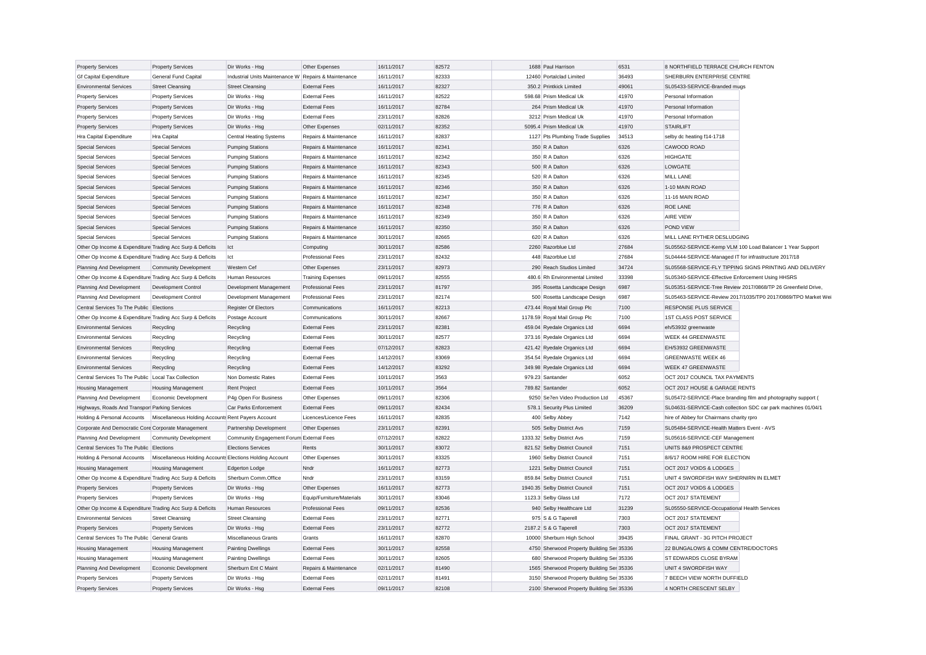| <b>Property Services</b>                                  | <b>Property Services</b>                                 | Dir Works - Hsg                                      | Other Expenses            | 16/11/2017               | 82572 | 1688 Paul Harrison                                           | 6531  | 8 NORTHFIELD TERRACE CHURCH FENTON                         |                                                               |
|-----------------------------------------------------------|----------------------------------------------------------|------------------------------------------------------|---------------------------|--------------------------|-------|--------------------------------------------------------------|-------|------------------------------------------------------------|---------------------------------------------------------------|
| Gf Capital Expenditure                                    | <b>General Fund Capital</b>                              | Industrial Units Maintenance W Repairs & Maintenance |                           | 16/11/2017               | 82333 | 12460 Portalclad Limited                                     | 36493 | SHERBURN ENTERPRISE CENTRE                                 |                                                               |
| <b>Environmental Services</b>                             | <b>Street Cleansing</b>                                  | <b>Street Cleansing</b>                              | <b>External Fees</b>      | 16/11/2017               | 82327 | 350.2 Printkick Limited                                      | 49061 | SL05433-SERVICE-Branded mugs                               |                                                               |
| <b>Property Services</b>                                  | <b>Property Services</b>                                 | Dir Works - Hsg                                      | <b>External Fees</b>      | 16/11/2017               | 82522 | 598.68 Prism Medical Uk                                      | 41970 | Personal Information                                       |                                                               |
| <b>Property Services</b>                                  | <b>Property Services</b>                                 | Dir Works - Hsg                                      | <b>External Fees</b>      | 16/11/2017               | 82784 | 264 Prism Medical Uk                                         | 41970 | Personal Information                                       |                                                               |
| <b>Property Services</b>                                  | <b>Property Services</b>                                 | Dir Works - Hsg                                      | <b>External Fees</b>      | 23/11/2017               | 82826 | 3212 Prism Medical Uk                                        | 41970 | Personal Information                                       |                                                               |
| <b>Property Services</b>                                  | <b>Property Services</b>                                 | Dir Works - Hsg                                      | Other Expenses            | 02/11/2017               | 82352 | 5095.4 Prism Medical Uk                                      | 41970 | <b>STAIRLIFT</b>                                           |                                                               |
| Hra Capital Expenditure                                   | Hra Capital                                              | <b>Central Heating Systems</b>                       | Repairs & Maintenance     | 16/11/2017               | 82837 | 1127 Pts Plumbing Trade Supplies                             | 34513 | selby dc heating f14-1718                                  |                                                               |
| <b>Special Services</b>                                   | <b>Special Services</b>                                  | <b>Pumping Stations</b>                              | Repairs & Maintenance     | 16/11/2017               | 82341 | 350 R A Dalton                                               | 6326  | CAWOOD ROAD                                                |                                                               |
| Special Services                                          | <b>Special Services</b>                                  | <b>Pumping Stations</b>                              | Repairs & Maintenance     | 16/11/2017               | 82342 | 350 R A Dalton                                               | 6326  | <b>HIGHGATE</b>                                            |                                                               |
| <b>Special Services</b>                                   | <b>Special Services</b>                                  | <b>Pumping Stations</b>                              | Repairs & Maintenance     | 16/11/2017               | 82343 | 500 R A Dalton                                               | 6326  | LOWGATE                                                    |                                                               |
| Special Services                                          | <b>Special Services</b>                                  | <b>Pumping Stations</b>                              | Repairs & Maintenance     | 16/11/2017               | 82345 | 520 R A Dalton                                               | 6326  | MILL LANE                                                  |                                                               |
| <b>Special Services</b>                                   | <b>Special Services</b>                                  | <b>Pumping Stations</b>                              | Repairs & Maintenance     | 16/11/2017               | 82346 | 350 R A Dalton                                               | 6326  | 1-10 MAIN ROAD                                             |                                                               |
| Special Services                                          | <b>Special Services</b>                                  | <b>Pumping Stations</b>                              | Repairs & Maintenance     | 16/11/2017               | 82347 | 350 R A Dalton                                               | 6326  | 11-16 MAIN ROAD                                            |                                                               |
| <b>Special Services</b>                                   | <b>Special Services</b>                                  | <b>Pumping Stations</b>                              | Repairs & Maintenance     | 16/11/2017               | 82348 | 776 R A Dalton                                               | 6326  | <b>ROE LANE</b>                                            |                                                               |
| Special Services                                          | <b>Special Services</b>                                  | <b>Pumping Stations</b>                              | Repairs & Maintenance     | 16/11/2017               | 82349 | 350 R A Dalton                                               | 6326  | <b>AIRE VIEW</b>                                           |                                                               |
| <b>Special Services</b>                                   | <b>Special Services</b>                                  | <b>Pumping Stations</b>                              | Repairs & Maintenance     | 16/11/2017               | 82350 | 350 R A Dalton                                               | 6326  | <b>POND VIEW</b>                                           |                                                               |
| Special Services                                          | <b>Special Services</b>                                  | <b>Pumping Stations</b>                              | Repairs & Maintenance     | 30/11/2017               | 82665 | 620 R A Dalton                                               | 6326  | MILL LANE RYTHER DESLUDGING                                |                                                               |
| Other Op Income & Expenditure Trading Acc Surp & Deficits |                                                          | Ict                                                  | Computing                 | 30/11/2017               | 82586 | 2260 Razorblue Ltd                                           | 27684 |                                                            | SL05562-SERVICE-Kemp VLM 100 Load Balancer 1 Year Support     |
| Other Op Income & Expenditure Trading Acc Surp & Deficits |                                                          | Ict                                                  | <b>Professional Fees</b>  | 23/11/2017               | 82432 | 448 Razorblue Ltd                                            | 27684 | SL04444-SERVICE-Managed IT for infrastructure 2017/18      |                                                               |
| Planning And Development                                  | <b>Community Development</b>                             | Western Cef                                          | Other Expenses            | 23/11/2017               | 82973 | 290 Reach Studios Limited                                    | 34724 |                                                            | SL05568-SERVICE-FLY TIPPING SIGNS PRINTING AND DELIVERY       |
| Other Op Income & Expenditure Trading Acc Surp & Deficits |                                                          | Human Resources                                      | <b>Training Expenses</b>  | 09/11/2017               | 82555 | 480.6 Rh Environmental Limited                               | 33398 | SL05340-SERVICE-Effective Enforcement Using HHSRS          |                                                               |
| Planning And Development                                  | Development Control                                      | Development Management                               | <b>Professional Fees</b>  | 23/11/2017               | 81797 | 395 Rosetta Landscape Design                                 | 6987  |                                                            | SL05351-SERVICE-Tree Review 2017/0868/TP 26 Greenfield Drive. |
| Planning And Development                                  | Development Control                                      | Development Management                               | <b>Professional Fees</b>  | 23/11/2017               | 82174 | 500 Rosetta Landscape Design                                 | 6987  |                                                            | SL05463-SERVICE-Review 2017/1035/TP0 2017/0869/TPO Market We  |
| Central Services To The Public Elections                  |                                                          | <b>Register Of Electors</b>                          | Communications            | 16/11/2017               | 82213 | 473.44 Roval Mail Group Plc                                  | 7100  | <b>RESPONSE PLUS SERVICE</b>                               |                                                               |
| Other Op Income & Expenditure Trading Acc Surp & Deficits |                                                          | Postage Account                                      | Communications            | 30/11/2017               | 82667 | 1178.59 Royal Mail Group Plc                                 | 7100  | 1ST CLASS POST SERVICE                                     |                                                               |
| <b>Environmental Services</b>                             | Recycling                                                | Recycling                                            | <b>External Fees</b>      | 23/11/2017               | 82381 | 459.04 Ryedale Organics Ltd                                  | 6694  | eh/53932 greenwaste                                        |                                                               |
| <b>Environmental Services</b>                             | Recycling                                                | Recycling                                            | <b>External Fees</b>      | 30/11/2017               | 82577 | 373.16 Ryedale Organics Ltd                                  | 6694  | <b>WEEK 44 GREENWASTE</b>                                  |                                                               |
| <b>Environmental Services</b>                             | Recycling                                                | Recycling                                            | <b>External Fees</b>      | 07/12/2017               | 82823 | 421.42 Ryedale Organics Ltd                                  | 6694  | EH/53932 GREENWASTE                                        |                                                               |
| <b>Environmental Services</b>                             | Recycling                                                | Recycling                                            | <b>External Fees</b>      | 14/12/2017               | 83069 | 354.54 Ryedale Organics Ltd                                  | 6694  | <b>GREENWASTE WEEK 46</b>                                  |                                                               |
| <b>Environmental Services</b>                             | Recycling                                                | Recycling                                            | <b>External Fees</b>      | 14/12/2017               | 83292 | 349.98 Ryedale Organics Ltd                                  | 6694  | <b>WEEK 47 GREENWASTE</b>                                  |                                                               |
| Central Services To The Public Local Tax Collection       |                                                          | Non Domestic Rates                                   | <b>External Fees</b>      | 10/11/2017               | 3563  | 979.23 Santander                                             | 6052  | OCT 2017 COUNCIL TAX PAYMENTS                              |                                                               |
| <b>Housing Management</b>                                 | <b>Housing Management</b>                                | <b>Rent Project</b>                                  | <b>External Fees</b>      | 10/11/2017               | 3564  | 789.82 Santander                                             | 6052  | OCT 2017 HOUSE & GARAGE RENTS                              |                                                               |
| Planning And Development                                  | Economic Development                                     | P4g Open For Business                                | Other Expenses            | 09/11/2017               | 82306 | 9250 Se7en Video Production Ltd                              | 45367 |                                                            | SL05472-SERVICE-Place branding film and photography support ( |
| Highways, Roads And Transpor Parking Services             |                                                          | Car Parks Enforcement                                | <b>External Fees</b>      | 09/11/2017               | 82434 | 578.1 Security Plus Limited                                  | 36209 |                                                            | SL04631-SERVICE-Cash collection SDC car park machines 01/04/1 |
| Holding & Personal Accounts                               | Miscellaneous Holding Accounts Rent Payers Account       |                                                      | Licences/Licence Fees     | 16/11/2017               | 82835 | 400 Selby Abbey                                              | 7142  | hire of Abbey for Chairmans charity rpro                   |                                                               |
| Corporate And Democratic Core Corporate Management        |                                                          | Partnership Development                              | Other Expenses            | 23/11/2017               | 82391 | 505 Selby District Avs                                       | 7159  | SL05484-SERVICE-Health Matters Event - AVS                 |                                                               |
| Planning And Development                                  |                                                          |                                                      |                           | 07/12/2017               | 82822 | 1333.32 Selby District Avs                                   | 7159  | SL05616-SERVICE-CEF Management                             |                                                               |
| Central Services To The Public                            | <b>Community Development</b><br><b>Flections</b>         | Community Engagement Forum External Fees             | Rents                     |                          | 83072 |                                                              | 7151  |                                                            |                                                               |
| Holding & Personal Accounts                               | Miscellaneous Holding Accounts Elections Holding Account | <b>Elections Services</b>                            |                           | 30/11/2017<br>30/11/2017 | 83325 | 821.52 Selby District Council<br>1960 Selby District Council | 7151  | UNITS 8&9 PROSPECT CENTRE<br>8/6/17 ROOM HIRE FOR ELECTION |                                                               |
| <b>Housing Management</b>                                 | <b>Housing Management</b>                                | Edgerton Lodge                                       | Other Expenses<br>Nndr    | 16/11/2017               | 82773 | 1221 Selby District Council                                  | 7151  | OCT 2017 VOIDS & LODGES                                    |                                                               |
|                                                           |                                                          |                                                      |                           | 23/11/2017               | 83159 | 859.84 Selby District Council                                | 7151  | UNIT 4 SWORDFISH WAY SHERNIRN IN ELMET                     |                                                               |
| Other Op Income & Expenditure Trading Acc Surp & Deficits |                                                          | Sherburn Comm.Office                                 | Nndr                      | 16/11/2017               | 82773 | 1940.35 Selby District Council                               | 7151  | OCT 2017 VOIDS & LODGES                                    |                                                               |
| <b>Property Services</b>                                  | <b>Property Services</b>                                 | Dir Works - Hsg                                      | Other Expenses            |                          |       |                                                              |       |                                                            |                                                               |
| <b>Property Services</b>                                  | <b>Property Services</b>                                 | Dir Works - Hsg                                      | Equip/Furniture/Materials | 30/11/2017               | 83046 | 1123.3 Selby Glass Ltd                                       | 7172  | OCT 2017 STATEMENT                                         |                                                               |
| Other Op Income & Expenditure Trading Acc Surp & Deficits |                                                          | Human Resources                                      | <b>Professional Fees</b>  | 09/11/2017               | 82536 | 940 Selby Healthcare Ltd                                     | 31239 | SL05550-SERVICE-Occupational Health Services               |                                                               |
| <b>Environmental Services</b>                             | <b>Street Cleansing</b>                                  | <b>Street Cleansing</b>                              | <b>External Fees</b>      | 23/11/2017               | 82771 | 975 S & G Taperell                                           | 7303  | OCT 2017 STATEMENT                                         |                                                               |
| <b>Property Services</b>                                  | <b>Property Services</b>                                 | Dir Works - Hsg                                      | <b>External Fees</b>      | 23/11/2017               | 82772 | 2187.2 S & G Taperell                                        | 7303  | OCT 2017 STATEMENT                                         |                                                               |
| Central Services To The Public General Grants             |                                                          | Miscellaneous Grants                                 | Grants                    | 16/11/2017               | 82870 | 10000 Sherburn High School                                   | 39435 | FINAL GRANT - 3G PITCH PROJECT                             |                                                               |
| <b>Housing Management</b>                                 | <b>Housing Management</b>                                | <b>Painting Dwellings</b>                            | <b>External Fees</b>      | 30/11/2017               | 82558 | 4750 Sherwood Property Building Ser 35336                    |       | 22 BUNGALOWS & COMM CENTRE/DOCTORS                         |                                                               |
| <b>Housing Management</b>                                 | <b>Housing Management</b>                                | <b>Painting Dwellings</b>                            | <b>External Fees</b>      | 30/11/2017               | 82605 | 680 Sherwood Property Building Ser 35336                     |       | ST EDWARDS CLOSE BYRAM                                     |                                                               |
| Planning And Development                                  | Economic Development                                     | Sherburn Ent C Maint                                 | Repairs & Maintenance     | 02/11/2017               | 81490 | 1565 Sherwood Property Building Ser 35336                    |       | UNIT 4 SWORDFISH WAY                                       |                                                               |
| <b>Property Services</b>                                  | <b>Property Services</b>                                 | Dir Works - Hsg                                      | <b>External Fees</b>      | 02/11/2017               | 81491 | 3150 Sherwood Property Building Ser 35336                    |       | 7 BEECH VIEW NORTH DUFFIELD                                |                                                               |
| <b>Property Services</b>                                  | <b>Property Services</b>                                 | Dir Works - Hsg                                      | <b>External Fees</b>      | 09/11/2017               | 82108 | 2100 Sherwood Property Building Ser 35336                    |       | 4 NORTH CRESCENT SELBY                                     |                                                               |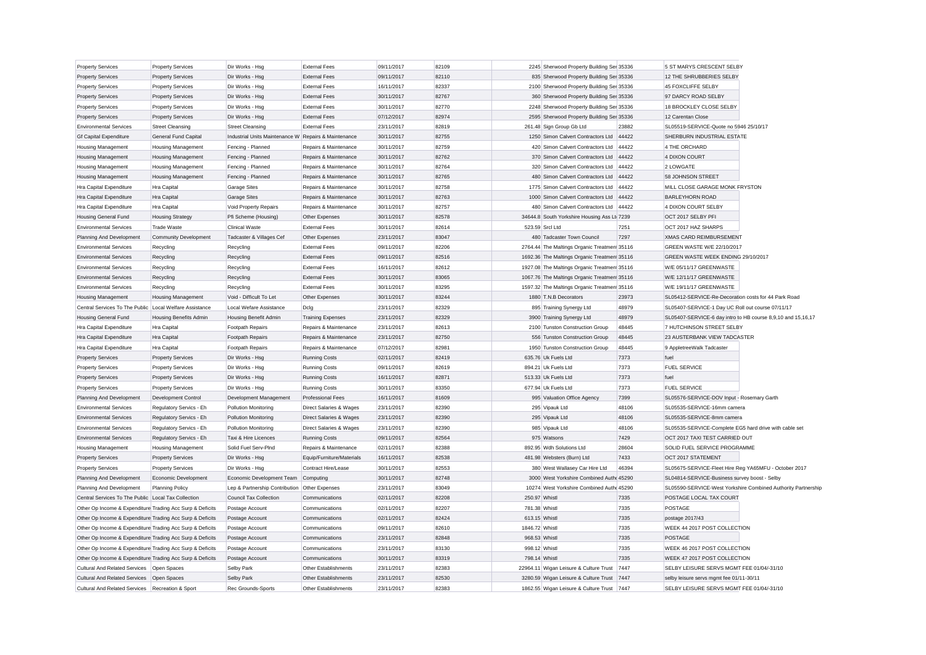| <b>Property Services</b>                                  | <b>Property Services</b>                        | Dir Works - Hsg                                      | <b>External Fees</b>                             | 09/11/2017               | 82109 |                | 2245 Sherwood Property Building Ser 35336   |       | 5 ST MARYS CRESCENT SELBY                                    |                                                               |
|-----------------------------------------------------------|-------------------------------------------------|------------------------------------------------------|--------------------------------------------------|--------------------------|-------|----------------|---------------------------------------------|-------|--------------------------------------------------------------|---------------------------------------------------------------|
| <b>Property Services</b>                                  | <b>Property Services</b>                        | Dir Works - Hsg                                      | <b>External Fees</b>                             | 09/11/2017               | 82110 |                | 835 Sherwood Property Building Ser 35336    |       | 12 THE SHRUBBERIES SELBY                                     |                                                               |
| <b>Property Services</b>                                  | <b>Property Services</b>                        | Dir Works - Hsg                                      | <b>External Fees</b>                             | 16/11/2017               | 82337 |                | 2100 Sherwood Property Building Ser 35336   |       | 45 FOXCLIFFE SELBY                                           |                                                               |
| <b>Property Services</b>                                  | <b>Property Services</b>                        | Dir Works - Hsg                                      | <b>External Fees</b>                             | 30/11/2017               | 82767 |                | 360 Sherwood Property Building Ser 35336    |       | 97 DARCY ROAD SELBY                                          |                                                               |
| <b>Property Services</b>                                  | <b>Property Services</b>                        | Dir Works - Hsg                                      | <b>External Fees</b>                             | 30/11/2017               | 82770 |                | 2248 Sherwood Property Building Ser 35336   |       | 18 BROCKLEY CLOSE SELBY                                      |                                                               |
| <b>Property Services</b>                                  | <b>Property Services</b>                        | Dir Works - Hsg                                      | <b>External Fees</b>                             | 07/12/2017               | 82974 |                | 2595 Sherwood Property Building Ser 35336   |       | 12 Carentan Close                                            |                                                               |
| <b>Environmental Services</b>                             | <b>Street Cleansing</b>                         | <b>Street Cleansing</b>                              | <b>External Fees</b>                             | 23/11/2017               | 82819 |                | 261.48 Sign Group Gb Ltd                    | 23882 | SL05519-SERVICE-Quote no 5946 25/10/17                       |                                                               |
| <b>Gf Capital Expenditure</b>                             | General Fund Capital                            | Industrial Units Maintenance W Repairs & Maintenance |                                                  | 30/11/2017               | 82755 |                | 1250 Simon Calvert Contractors Ltd          | 44422 | SHERBURN INDUSTRIAL ESTATE                                   |                                                               |
| <b>Housing Management</b>                                 | <b>Housing Management</b>                       | Fencing - Planned                                    | Repairs & Maintenance                            | 30/11/2017               | 82759 |                | 420 Simon Calvert Contractors Ltd           | 44422 | 4 THE ORCHARD                                                |                                                               |
| <b>Housing Management</b>                                 | <b>Housing Management</b>                       | Fencing - Planned                                    | Repairs & Maintenance                            | 30/11/2017               | 82762 |                | 370 Simon Calvert Contractors Ltd           | 44422 | 4 DIXON COURT                                                |                                                               |
| <b>Housing Management</b>                                 | <b>Housing Management</b>                       | Fencing - Planned                                    | Repairs & Maintenance                            | 30/11/2017               | 82764 |                | 320 Simon Calvert Contractors Ltd           | 44422 | 2 LOWGATE                                                    |                                                               |
| <b>Housing Management</b>                                 | <b>Housing Management</b>                       | Fencing - Planned                                    | Repairs & Maintenance                            | 30/11/2017               | 82765 |                | 480 Simon Calvert Contractors Ltd           | 44422 | 58 JOHNSON STREET                                            |                                                               |
| Hra Capital Expenditure                                   | Hra Capital                                     | <b>Garage Sites</b>                                  | Repairs & Maintenance                            | 30/11/2017               | 82758 |                | 1775 Simon Calvert Contractors Ltd          | 44422 | MILL CLOSE GARAGE MONK FRYSTON                               |                                                               |
| Hra Capital Expenditure                                   | Hra Capital                                     | <b>Garage Sites</b>                                  | Repairs & Maintenance                            | 30/11/2017               | 82763 |                | 1000 Simon Calvert Contractors Ltd          | 44422 | BARLEYHORN ROAD                                              |                                                               |
| Hra Capital Expenditure                                   | Hra Capital                                     | Void Property Repairs                                | Repairs & Maintenance                            | 30/11/2017               | 82757 |                | 480 Simon Calvert Contractors Ltd 44422     |       | 4 DIXON COURT SELBY                                          |                                                               |
| <b>Housing General Fund</b>                               | <b>Housing Strategy</b>                         | Pfi Scheme (Housing)                                 | Other Expenses                                   | 30/11/2017               | 82578 |                | 34644.8 South Yorkshire Housing Ass Lt 7239 |       | OCT 2017 SELBY PFI                                           |                                                               |
| <b>Environmental Services</b>                             | <b>Trade Waste</b>                              | <b>Clinical Waste</b>                                | <b>External Fees</b>                             | 30/11/2017               | 82614 |                | 523.59 Srcl Ltd                             | 7251  | OCT 2017 HAZ SHARPS                                          |                                                               |
| Planning And Development                                  | Community Development                           | Tadcaster & Villages Cef                             | Other Expenses                                   | 23/11/2017               | 83047 |                | 480 Tadcaster Town Council                  | 7297  | <b>XMAS CARD REIMBURSEMENT</b>                               |                                                               |
| <b>Environmental Services</b>                             | Recycling                                       | Recycling                                            | <b>External Fees</b>                             | 09/11/2017               | 82206 |                | 2764.44 The Maltings Organic Treatmen 35116 |       | GREEN WASTE W/E 22/10/2017                                   |                                                               |
| <b>Environmental Services</b>                             | Recycling                                       | Recycling                                            | <b>External Fees</b>                             | 09/11/2017               | 82516 |                | 1692.36 The Maltings Organic Treatmen 35116 |       | GREEN WASTE WEEK ENDING 29/10/2017                           |                                                               |
| <b>Environmental Services</b>                             | Recycling                                       | Recycling                                            | <b>External Fees</b>                             | 16/11/2017               | 82612 |                | 1927.08 The Maltings Organic Treatmen 35116 |       | W/E 05/11/17 GREENWASTE                                      |                                                               |
| <b>Environmental Services</b>                             | Recycling                                       | Recycling                                            | <b>External Fees</b>                             | 30/11/2017               | 83065 |                | 1067.76 The Maltings Organic Treatmen 35116 |       | W/E 12/11/17 GREENWASTE                                      |                                                               |
| <b>Environmental Services</b>                             | Recycling                                       | Recycling                                            | <b>External Fees</b>                             | 30/11/2017               | 83295 |                | 1597.32 The Maltings Organic Treatmen 35116 |       | W/E 19/11/17 GREENWASTE                                      |                                                               |
| <b>Housing Management</b>                                 | <b>Housing Management</b>                       | Void - Difficult To Let                              | Other Expenses                                   | 30/11/2017               | 83244 |                | 1880 T.N.B Decorators                       | 23973 | SL05412-SERVICE-Re-Decoration costs for 44 Park Road         |                                                               |
| Central Services To The Public Local Welfare Assistance   |                                                 | Local Wefare Assistance                              | Dclg                                             | 23/11/2017               | 82329 |                | 895 Training Synergy Ltd                    | 48979 | SL05407-SERVICE-1 Day UC Roll out course 07/11/17            |                                                               |
| <b>Housing General Fund</b>                               | <b>Housing Benefits Admin</b>                   | <b>Housing Benefit Admin</b>                         | <b>Training Expenses</b>                         | 23/11/2017               | 82329 |                | 3900 Training Synergy Ltd                   | 48979 | SL05407-SERVICE-6 day intro to HB course 8,9,10 and 15,16,17 |                                                               |
| Hra Capital Expenditure                                   | Hra Capital                                     | Footpath Repairs                                     | Repairs & Maintenance                            | 23/11/2017               | 82613 |                | 2100 Tunston Construction Group             | 48445 | 7 HUTCHINSON STREET SELBY                                    |                                                               |
| Hra Capital Expenditure                                   | Hra Capital                                     | Footpath Repairs                                     | Repairs & Maintenance                            | 23/11/2017               | 82750 |                | 556 Tunston Construction Group              | 48445 | 23 AUSTERBANK VIEW TADCASTER                                 |                                                               |
| Hra Capital Expenditure                                   | Hra Capital                                     | Footpath Repairs                                     | Repairs & Maintenance                            | 07/12/2017               | 82981 |                | 1950 Tunston Construction Group             | 48445 | 9 AppletreeWalk Tadcaster                                    |                                                               |
| <b>Property Services</b>                                  | <b>Property Services</b>                        | Dir Works - Hsg                                      | <b>Running Costs</b>                             | 02/11/2017               | 82419 |                | 635.76 Uk Fuels Ltd                         | 7373  | fuel                                                         |                                                               |
| <b>Property Services</b>                                  | <b>Property Services</b>                        | Dir Works - Hsg                                      | <b>Running Costs</b>                             | 09/11/2017               | 82619 |                | 894.21 Uk Fuels Ltd                         | 7373  | <b>FUEL SERVICE</b>                                          |                                                               |
|                                                           |                                                 |                                                      |                                                  | 16/11/2017               | 82871 |                | 513.33 Uk Fuels Ltd                         | 7373  | fuel                                                         |                                                               |
| <b>Property Services</b>                                  | <b>Property Services</b>                        | Dir Works - Hsg                                      | <b>Running Costs</b>                             |                          | 83350 |                | 677.94 Uk Fuels Ltd                         | 7373  | <b>FUEL SERVICE</b>                                          |                                                               |
| <b>Property Services</b><br>Planning And Development      | <b>Property Services</b><br>Development Control | Dir Works - Hsg<br>Development Management            | <b>Running Costs</b><br><b>Professional Fees</b> | 30/11/2017<br>16/11/2017 | 81609 |                | 995 Valuation Office Agency                 | 7399  | SL05576-SERVICE-DOV Input - Rosemary Garth                   |                                                               |
|                                                           |                                                 |                                                      |                                                  |                          |       |                |                                             |       |                                                              |                                                               |
| <b>Environmental Services</b>                             | Regulatory Servics - Eh                         | Pollution Monitoring                                 | Direct Salaries & Wages                          | 23/11/2017               | 82390 |                | 295 Vipauk Ltd                              | 48106 | SL05535-SERVICE-16mm camera                                  |                                                               |
| <b>Environmental Services</b>                             | Regulatory Servics - Eh                         | Pollution Monitoring                                 | <b>Direct Salaries &amp; Wages</b>               | 23/11/2017               | 82390 |                | 295 Vipauk Ltd                              | 48106 | SL05535-SERVICE-8mm camera                                   |                                                               |
| <b>Environmental Services</b>                             | Regulatory Servics - Eh                         | <b>Pollution Monitoring</b>                          | Direct Salaries & Wages                          | 23/11/2017               | 82390 |                | 985 Vipauk Ltd                              | 48106 | SL05535-SERVICE-Complete EG5 hard drive with cable set       |                                                               |
| <b>Environmental Services</b>                             | Regulatory Servics - Eh                         | Taxi & Hire Licences                                 | <b>Running Costs</b>                             | 09/11/2017               | 82564 |                | 975 Watsons                                 | 7429  | OCT 2017 TAXI TEST CARRIED OUT                               |                                                               |
| <b>Housing Management</b>                                 | <b>Housing Management</b>                       | Solid Fuel Serv-PInd                                 | Repairs & Maintenance                            | 02/11/2017               | 82388 |                | 892.95 Wdh Solutions Ltd                    | 28604 | SOLID FUEL SERVICE PROGRAMME                                 |                                                               |
| <b>Property Services</b>                                  | <b>Property Services</b>                        | Dir Works - Hsg                                      | Equip/Furniture/Materials                        | 16/11/2017               | 82538 |                | 481.98 Websters (Burn) Ltd                  | 7433  | OCT 2017 STATEMENT                                           |                                                               |
| <b>Property Services</b>                                  | <b>Property Services</b>                        | Dir Works - Hsg                                      | Contract Hire/Lease                              | 30/11/2017               | 82553 |                | 380 West Wallasey Car Hire Ltd              | 46394 | SL05675-SERVICE-Fleet Hire Reg YA65MFU - October 2017        |                                                               |
| Planning And Development                                  | Economic Development                            | Economic Development Team                            | Computing                                        | 30/11/2017               | 82748 |                | 3000 West Yorkshire Combined Auth 45290     |       | SL04814-SERVICE-Business survey boost - Selby                |                                                               |
| Planning And Development                                  | <b>Planning Policy</b>                          | Lep & Partnership Contribution Other Expenses        |                                                  | 23/11/2017               | 83049 |                | 10274 West Yorkshire Combined Auth( 45290   |       |                                                              | SL05590-SERVICE-West Yorkshire Combined Authority Partnership |
| Central Services To The Public Local Tax Collection       |                                                 | Council Tax Collection                               | Communications                                   | 02/11/2017               | 82208 | 250.97 Whistl  |                                             | 7335  | POSTAGE LOCAL TAX COURT                                      |                                                               |
| Other Op Income & Expenditure Trading Acc Surp & Deficits |                                                 | Postage Account                                      | Communications                                   | 02/11/2017               | 82207 | 781.38 Whistl  |                                             | 7335  | POSTAGE                                                      |                                                               |
| Other Op Income & Expenditure Trading Acc Surp & Deficits |                                                 | Postage Account                                      | Communications                                   | 02/11/2017               | 82424 | 613.15 Whist   |                                             | 7335  | postage 2017/43                                              |                                                               |
| Other Op Income & Expenditure Trading Acc Surp & Deficits |                                                 | Postage Account                                      | Communications                                   | 09/11/2017               | 82610 | 1846.72 Whistl |                                             | 7335  | WEEK 44 2017 POST COLLECTION                                 |                                                               |
| Other Op Income & Expenditure Trading Acc Surp & Deficits |                                                 | Postage Account                                      | Communications                                   | 23/11/2017               | 82848 | 968.53 Whistl  |                                             | 7335  | <b>POSTAGE</b>                                               |                                                               |
| Other Op Income & Expenditure Trading Acc Surp & Deficits |                                                 | Postage Account                                      | Communications                                   | 23/11/2017               | 83130 | 998.12 Whistl  |                                             | 7335  | WEEK 46 2017 POST COLLECTION                                 |                                                               |
| Other Op Income & Expenditure Trading Acc Surp & Deficits |                                                 | Postage Account                                      | Communications                                   | 30/11/2017               | 83319 | 798.14 Whistl  |                                             | 7335  | WEEK 47 2017 POST COLLECTION                                 |                                                               |
| Cultural And Related Services   Open Spaces               |                                                 | Selby Park                                           | Other Establishments                             | 23/11/2017               | 82383 |                | 22964.11 Wigan Leisure & Culture Trust      | 7447  | SELBY LEISURE SERVS MGMT FEE 01/04/-31/10                    |                                                               |
| Cultural And Related Services Open Spaces                 |                                                 | <b>Selby Park</b>                                    | Other Establishments                             | 23/11/2017               | 82530 |                | 3280.59 Wigan Leisure & Culture Trust       | 7447  | selby leisure servs mgmt fee 01/11-30/11                     |                                                               |
| Cultural And Related Services Recreation & Sport          |                                                 | Rec Grounds-Sports                                   | Other Establishments                             | 23/11/2017               | 82383 |                | 1862.55 Wigan Leisure & Culture Trust       | 7447  | SELBY LEISURE SERVS MGMT FEE 01/04/-31/10                    |                                                               |